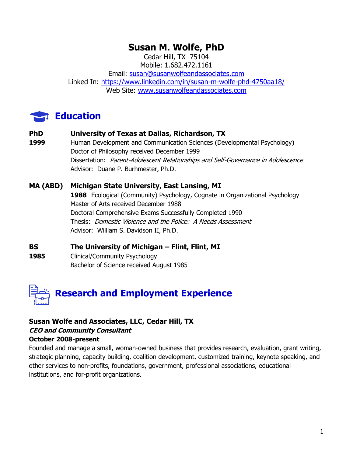## **Susan M. Wolfe, PhD**

Cedar Hill, TX 75104 Mobile: 1.682.472.1161

Email: [susan@susanwolfeandassociates.com](mailto:susan@susanwolfeandassociates.com) Linked In:<https://www.linkedin.com/in/susan-m-wolfe-phd-4750aa18/> Web Site: [www.susanwolfeandassociates.com](http://www.susanwolfeandassociates.com/)

## **Education**

#### **PhD University of Texas at Dallas, Richardson, TX**

**1999** Human Development and Communication Sciences (Developmental Psychology) Doctor of Philosophy received December 1999 Dissertation: Parent-Adolescent Relationships and Self-Governance in Adolescence Advisor: Duane P. Burhmester, Ph.D.

#### **MA (ABD) Michigan State University, East Lansing, MI 1988** Ecological (Community) Psychology, Cognate in Organizational Psychology Master of Arts received December 1988 Doctoral Comprehensive Exams Successfully Completed 1990 Thesis: Domestic Violence and the Police: A Needs Assessment Advisor: William S. Davidson II, Ph.D.

**BS The University of Michigan – Flint, Flint, MI**

1985 Clinical/Community Psychology Bachelor of Science received August 1985



#### **Susan Wolfe and Associates, LLC, Cedar Hill, TX CEO and Community Consultant October 2008-present**

Founded and manage a small, woman-owned business that provides research, evaluation, grant writing, strategic planning, capacity building, coalition development, customized training, keynote speaking, and other services to non-profits, foundations, government, professional associations, educational institutions, and for-profit organizations.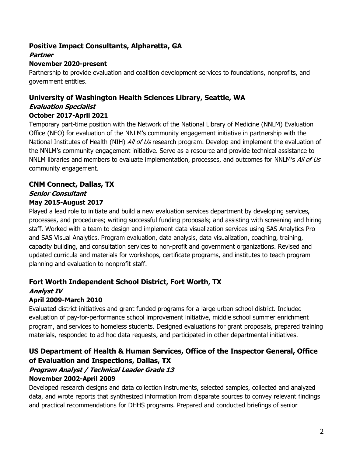#### **Positive Impact Consultants, Alpharetta, GA**

#### **Partner**

#### **November 2020-present**

Partnership to provide evaluation and coalition development services to foundations, nonprofits, and government entities.

## **University of Washington Health Sciences Library, Seattle, WA**

#### **Evaluation Specialist October 2017-April 2021**

Temporary part-time position with the Network of the National Library of Medicine (NNLM) Evaluation Office (NEO) for evaluation of the NNLM's community engagement initiative in partnership with the National Institutes of Health (NIH) All of Us research program. Develop and implement the evaluation of the NNLM's community engagement initiative. Serve as a resource and provide technical assistance to NNLM libraries and members to evaluate implementation, processes, and outcomes for NNLM's All of Us community engagement.

## **CNM Connect, Dallas, TX Senior Consultant**

## **May 2015-August 2017**

Played a lead role to initiate and build a new evaluation services department by developing services, processes, and procedures; writing successful funding proposals; and assisting with screening and hiring staff. Worked with a team to design and implement data visualization services using SAS Analytics Pro and SAS Visual Analytics. Program evaluation, data analysis, data visualization, coaching, training, capacity building, and consultation services to non-profit and government organizations. Revised and updated curricula and materials for workshops, certificate programs, and institutes to teach program planning and evaluation to nonprofit staff.

#### **Fort Worth Independent School District, Fort Worth, TX Analyst IV**

## **April 2009-March 2010**

Evaluated district initiatives and grant funded programs for a large urban school district. Included evaluation of pay-for-performance school improvement initiative, middle school summer enrichment program, and services to homeless students. Designed evaluations for grant proposals, prepared training materials, responded to ad hoc data requests, and participated in other departmental initiatives.

## **US Department of Health & Human Services, Office of the Inspector General, Office of Evaluation and Inspections, Dallas, TX**

# **Program Analyst / Technical Leader Grade 13**

#### **November 2002-April 2009**

Developed research designs and data collection instruments, selected samples, collected and analyzed data, and wrote reports that synthesized information from disparate sources to convey relevant findings and practical recommendations for DHHS programs. Prepared and conducted briefings of senior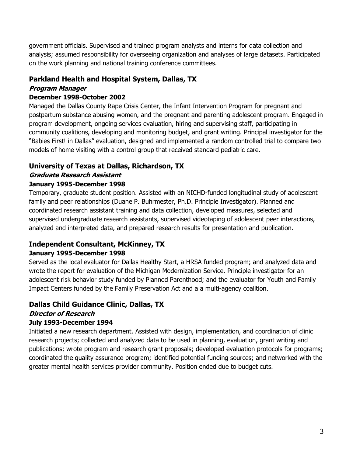government officials. Supervised and trained program analysts and interns for data collection and analysis; assumed responsibility for overseeing organization and analyses of large datasets. Participated on the work planning and national training conference committees.

#### **Parkland Health and Hospital System, Dallas, TX**

#### **Program Manager**

#### **December 1998-October 2002**

Managed the Dallas County Rape Crisis Center, the Infant Intervention Program for pregnant and postpartum substance abusing women, and the pregnant and parenting adolescent program. Engaged in program development, ongoing services evaluation, hiring and supervising staff, participating in community coalitions, developing and monitoring budget, and grant writing. Principal investigator for the "Babies First! in Dallas" evaluation, designed and implemented a random controlled trial to compare two models of home visiting with a control group that received standard pediatric care.

## **University of Texas at Dallas, Richardson, TX**

#### **Graduate Research Assistant**

#### **January 1995-December 1998**

Temporary, graduate student position. Assisted with an NICHD-funded longitudinal study of adolescent family and peer relationships (Duane P. Buhrmester, Ph.D. Principle Investigator). Planned and coordinated research assistant training and data collection, developed measures, selected and supervised undergraduate research assistants, supervised videotaping of adolescent peer interactions, analyzed and interpreted data, and prepared research results for presentation and publication.

#### **Independent Consultant, McKinney, TX**

#### **January 1995-December 1998**

Served as the local evaluator for Dallas Healthy Start, a HRSA funded program; and analyzed data and wrote the report for evaluation of the Michigan Modernization Service. Principle investigator for an adolescent risk behavior study funded by Planned Parenthood; and the evaluator for Youth and Family Impact Centers funded by the Family Preservation Act and a a multi-agency coalition.

## **Dallas Child Guidance Clinic, Dallas, TX**

#### **Director of Research July 1993-December 1994**

Initiated a new research department. Assisted with design, implementation, and coordination of clinic research projects; collected and analyzed data to be used in planning, evaluation, grant writing and publications; wrote program and research grant proposals; developed evaluation protocols for programs; coordinated the quality assurance program; identified potential funding sources; and networked with the greater mental health services provider community. Position ended due to budget cuts.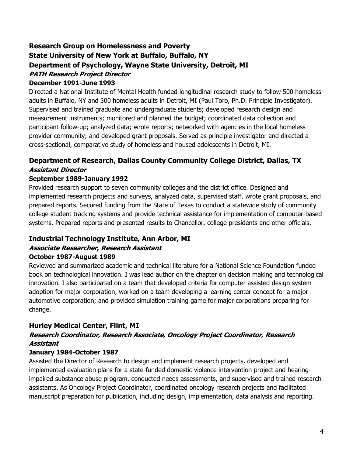## **Research Group on Homelessness and Poverty State University of New York at Buffalo, Buffalo, NY Department of Psychology, Wayne State University, Detroit, MI PATH Research Project Director**

#### **December 1991-June 1993**

Directed a National Institute of Mental Health funded longitudinal research study to follow 500 homeless adults in Buffalo, NY and 300 homeless adults in Detroit, MI (Paul Toro, Ph.D. Principle Investigator). Supervised and trained graduate and undergraduate students; developed research design and measurement instruments; monitored and planned the budget; coordinated data collection and participant follow-up; analyzed data; wrote reports; networked with agencies in the local homeless provider community; and developed grant proposals. Served as principle investigator and directed a cross-sectional, comparative study of homeless and housed adolescents in Detroit, MI.

## **Department of Research, Dallas County Community College District, Dallas, TX Assistant Director**

#### **September 1989-January 1992**

Provided research support to seven community colleges and the district office. Designed and implemented research projects and surveys, analyzed data, supervised staff, wrote grant proposals, and prepared reports. Secured funding from the State of Texas to conduct a statewide study of community college student tracking systems and provide technical assistance for implementation of computer-based systems. Prepared reports and presented results to Chancellor, college presidents and other officials.

#### **Industrial Technology Institute, Ann Arbor, MI Associate Researcher, Research Assistant October 1987-August 1989**

Reviewed and summarized academic and technical literature for a National Science Foundation funded book on technological innovation. I was lead author on the chapter on decision making and technological innovation. I also participated on a team that developed criteria for computer assisted design system adoption for major corporation, worked on a team developing a learning center concept for a major automotive corporation; and provided simulation training game for major corporations preparing for change.

#### **Hurley Medical Center, Flint, MI**

#### **Research Coordinator, Research Associate, Oncology Project Coordinator, Research Assistant**

#### **January 1984-October 1987**

Assisted the Director of Research to design and implement research projects, developed and implemented evaluation plans for a state-funded domestic violence intervention project and hearingimpaired substance abuse program, conducted needs assessments, and supervised and trained research assistants. As Oncology Project Coordinator, coordinated oncology research projects and facilitated manuscript preparation for publication, including design, implementation, data analysis and reporting.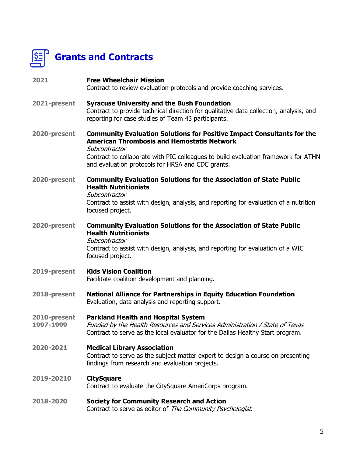

# **Grants and Contracts**

| 2021                      | <b>Free Wheelchair Mission</b><br>Contract to review evaluation protocols and provide coaching services.                                                                                                                                                                                       |
|---------------------------|------------------------------------------------------------------------------------------------------------------------------------------------------------------------------------------------------------------------------------------------------------------------------------------------|
| 2021-present              | <b>Syracuse University and the Bush Foundation</b><br>Contract to provide technical direction for qualitative data collection, analysis, and<br>reporting for case studies of Team 43 participants.                                                                                            |
| 2020-present              | <b>Community Evaluation Solutions for Positive Impact Consultants for the</b><br><b>American Thrombosis and Hemostatis Network</b><br>Subcontractor<br>Contract to collaborate with PIC colleagues to build evaluation framework for ATHN<br>and evaluation protocols for HRSA and CDC grants. |
| 2020-present              | <b>Community Evaluation Solutions for the Association of State Public</b><br><b>Health Nutritionists</b><br>Subcontractor<br>Contract to assist with design, analysis, and reporting for evaluation of a nutrition<br>focused project.                                                         |
| 2020-present              | <b>Community Evaluation Solutions for the Association of State Public</b><br><b>Health Nutritionists</b><br>Subcontractor<br>Contract to assist with design, analysis, and reporting for evaluation of a WIC<br>focused project.                                                               |
| 2019-present              | <b>Kids Vision Coalition</b><br>Facilitate coalition development and planning.                                                                                                                                                                                                                 |
| 2018-present              | <b>National Alliance for Partnerships in Equity Education Foundation</b><br>Evaluation, data analysis and reporting support.                                                                                                                                                                   |
| 2010-present<br>1997-1999 | <b>Parkland Health and Hospital System</b><br>Funded by the Health Resources and Services Administration / State of Texas<br>Contract to serve as the local evaluator for the Dallas Healthy Start program.                                                                                    |
| 2020-2021                 | <b>Medical Library Association</b><br>Contract to serve as the subject matter expert to design a course on presenting<br>findings from research and evaluation projects.                                                                                                                       |
| 2019-20210                | <b>CitySquare</b><br>Contract to evaluate the CitySquare AmeriCorps program.                                                                                                                                                                                                                   |
| 2018-2020                 | <b>Society for Community Research and Action</b><br>Contract to serve as editor of The Community Psychologist.                                                                                                                                                                                 |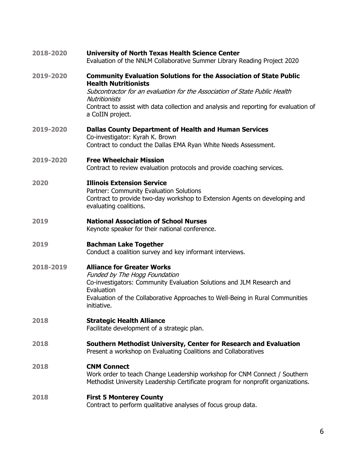| 2018-2020 | <b>University of North Texas Health Science Center</b><br>Evaluation of the NNLM Collaborative Summer Library Reading Project 2020                                                                                                                                                                                         |
|-----------|----------------------------------------------------------------------------------------------------------------------------------------------------------------------------------------------------------------------------------------------------------------------------------------------------------------------------|
| 2019-2020 | <b>Community Evaluation Solutions for the Association of State Public</b><br><b>Health Nutritionists</b><br>Subcontractor for an evaluation for the Association of State Public Health<br><b>Nutritionists</b><br>Contract to assist with data collection and analysis and reporting for evaluation of<br>a CoIIN project. |
| 2019-2020 | <b>Dallas County Department of Health and Human Services</b><br>Co-investigator: Kyrah K. Brown<br>Contract to conduct the Dallas EMA Ryan White Needs Assessment.                                                                                                                                                         |
| 2019-2020 | <b>Free Wheelchair Mission</b><br>Contract to review evaluation protocols and provide coaching services.                                                                                                                                                                                                                   |
| 2020      | <b>Illinois Extension Service</b><br>Partner: Community Evaluation Solutions<br>Contract to provide two-day workshop to Extension Agents on developing and<br>evaluating coalitions.                                                                                                                                       |
| 2019      | <b>National Association of School Nurses</b><br>Keynote speaker for their national conference.                                                                                                                                                                                                                             |
| 2019      | <b>Bachman Lake Together</b><br>Conduct a coalition survey and key informant interviews.                                                                                                                                                                                                                                   |
| 2018-2019 | <b>Alliance for Greater Works</b><br>Funded by The Hogg Foundation<br>Co-investigators: Community Evaluation Solutions and JLM Research and<br>Evaluation<br>Evaluation of the Collaborative Approaches to Well-Being in Rural Communities<br>initiative.                                                                  |
| 2018      | <b>Strategic Health Alliance</b><br>Facilitate development of a strategic plan.                                                                                                                                                                                                                                            |
| 2018      | Southern Methodist University, Center for Research and Evaluation<br>Present a workshop on Evaluating Coalitions and Collaboratives                                                                                                                                                                                        |
| 2018      | <b>CNM Connect</b><br>Work order to teach Change Leadership workshop for CNM Connect / Southern<br>Methodist University Leadership Certificate program for nonprofit organizations.                                                                                                                                        |
| 2018      | <b>First 5 Monterey County</b><br>Contract to perform qualitative analyses of focus group data.                                                                                                                                                                                                                            |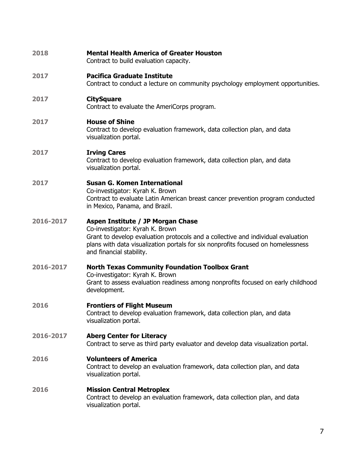| 2018      | <b>Mental Health America of Greater Houston</b><br>Contract to build evaluation capacity.                                                                                                                                                                                |
|-----------|--------------------------------------------------------------------------------------------------------------------------------------------------------------------------------------------------------------------------------------------------------------------------|
| 2017      | <b>Pacifica Graduate Institute</b><br>Contract to conduct a lecture on community psychology employment opportunities.                                                                                                                                                    |
| 2017      | <b>CitySquare</b><br>Contract to evaluate the AmeriCorps program.                                                                                                                                                                                                        |
| 2017      | <b>House of Shine</b><br>Contract to develop evaluation framework, data collection plan, and data<br>visualization portal.                                                                                                                                               |
| 2017      | <b>Irving Cares</b><br>Contract to develop evaluation framework, data collection plan, and data<br>visualization portal.                                                                                                                                                 |
| 2017      | <b>Susan G. Komen International</b><br>Co-investigator: Kyrah K. Brown<br>Contract to evaluate Latin American breast cancer prevention program conducted<br>in Mexico, Panama, and Brazil.                                                                               |
| 2016-2017 | Aspen Institute / JP Morgan Chase<br>Co-investigator: Kyrah K. Brown<br>Grant to develop evaluation protocols and a collective and individual evaluation<br>plans with data visualization portals for six nonprofits focused on homelessness<br>and financial stability. |
| 2016-2017 | <b>North Texas Community Foundation Toolbox Grant</b><br>Co-investigator: Kyrah K. Brown<br>Grant to assess evaluation readiness among nonprofits focused on early childhood<br>development.                                                                             |
| 2016      | <b>Frontiers of Flight Museum</b><br>Contract to develop evaluation framework, data collection plan, and data<br>visualization portal.                                                                                                                                   |
| 2016-2017 | <b>Aberg Center for Literacy</b><br>Contract to serve as third party evaluator and develop data visualization portal.                                                                                                                                                    |
| 2016      | <b>Volunteers of America</b><br>Contract to develop an evaluation framework, data collection plan, and data<br>visualization portal.                                                                                                                                     |
| 2016      | <b>Mission Central Metroplex</b><br>Contract to develop an evaluation framework, data collection plan, and data<br>visualization portal.                                                                                                                                 |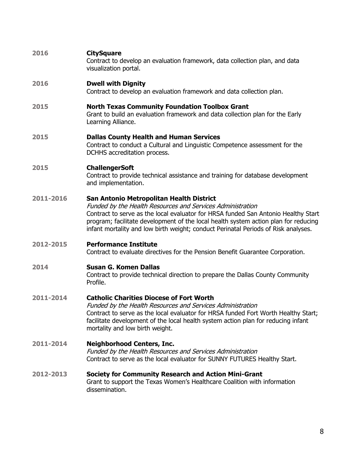#### **2016 CitySquare**

Contract to develop an evaluation framework, data collection plan, and data visualization portal.

#### **2016 Dwell with Dignity**

Contract to develop an evaluation framework and data collection plan.

#### **2015 North Texas Community Foundation Toolbox Grant**

Grant to build an evaluation framework and data collection plan for the Early Learning Alliance.

#### **2015 Dallas County Health and Human Services**

Contract to conduct a Cultural and Linguistic Competence assessment for the DCHHS accreditation process.

#### **2015 ChallengerSoft**

Contract to provide technical assistance and training for database development and implementation.

#### **2011-2016 San Antonio Metropolitan Health District**

Funded by the Health Resources and Services Administration Contract to serve as the local evaluator for HRSA funded San Antonio Healthy Start program; facilitate development of the local health system action plan for reducing infant mortality and low birth weight; conduct Perinatal Periods of Risk analyses.

#### **2012-2015 Performance Institute**

Contract to evaluate directives for the Pension Benefit Guarantee Corporation.

#### **2014 Susan G. Komen Dallas**

Contract to provide technical direction to prepare the Dallas County Community Profile.

#### **2011-2014 Catholic Charities Diocese of Fort Worth**

Funded by the Health Resources and Services Administration Contract to serve as the local evaluator for HRSA funded Fort Worth Healthy Start; facilitate development of the local health system action plan for reducing infant mortality and low birth weight.

#### **2011-2014 Neighborhood Centers, Inc.**

Funded by the Health Resources and Services Administration Contract to serve as the local evaluator for SUNNY FUTURES Healthy Start.

#### **2012-2013 Society for Community Research and Action Mini-Grant** Grant to support the Texas Women's Healthcare Coalition with information

dissemination.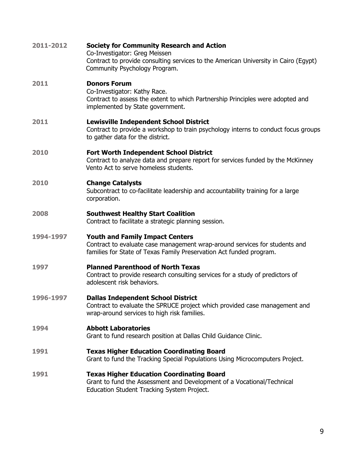| 2011-2012 | <b>Society for Community Research and Action</b><br>Co-Investigator: Greg Meissen<br>Contract to provide consulting services to the American University in Cairo (Egypt)<br>Community Psychology Program. |
|-----------|-----------------------------------------------------------------------------------------------------------------------------------------------------------------------------------------------------------|
| 2011      | <b>Donors Forum</b><br>Co-Investigator: Kathy Race.<br>Contract to assess the extent to which Partnership Principles were adopted and<br>implemented by State government.                                 |
| 2011      | <b>Lewisville Independent School District</b><br>Contract to provide a workshop to train psychology interns to conduct focus groups<br>to gather data for the district.                                   |
| 2010      | <b>Fort Worth Independent School District</b><br>Contract to analyze data and prepare report for services funded by the McKinney<br>Vento Act to serve homeless students.                                 |
| 2010      | <b>Change Catalysts</b><br>Subcontract to co-facilitate leadership and accountability training for a large<br>corporation.                                                                                |
| 2008      | <b>Southwest Healthy Start Coalition</b><br>Contract to facilitate a strategic planning session.                                                                                                          |
| 1994-1997 | <b>Youth and Family Impact Centers</b><br>Contract to evaluate case management wrap-around services for students and<br>families for State of Texas Family Preservation Act funded program.               |
| 1997      | <b>Planned Parenthood of North Texas</b><br>Contract to provide research consulting services for a study of predictors of<br>adolescent risk behaviors.                                                   |
| 1996-1997 | <b>Dallas Independent School District</b><br>Contract to evaluate the SPRUCE project which provided case management and<br>wrap-around services to high risk families.                                    |
| 1994      | <b>Abbott Laboratories</b><br>Grant to fund research position at Dallas Child Guidance Clinic.                                                                                                            |
| 1991      | <b>Texas Higher Education Coordinating Board</b><br>Grant to fund the Tracking Special Populations Using Microcomputers Project.                                                                          |
| 1991      | <b>Texas Higher Education Coordinating Board</b><br>Grant to fund the Assessment and Development of a Vocational/Technical<br>Education Student Tracking System Project.                                  |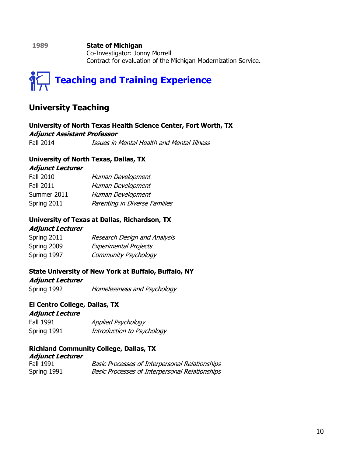**1989 State of Michigan** Co-Investigator: Jonny Morrell Contract for evaluation of the Michigan Modernization Service.



## **University Teaching**

**University of North Texas Health Science Center, Fort Worth, TX Adjunct Assistant Professor** Fall 2014 *Issues in Mental Health and Mental Illness* 

#### **University of North Texas, Dallas, TX**

**Adjunct Lecturer**

| <b>Fall 2010</b> | Human Development             |
|------------------|-------------------------------|
| <b>Fall 2011</b> | Human Development             |
| Summer 2011      | Human Development             |
| Spring 2011      | Parenting in Diverse Families |

#### **University of Texas at Dallas, Richardson, TX**

#### **Adjunct Lecturer**

| Spring 2011 | Research Design and Analysis |
|-------------|------------------------------|
| Spring 2009 | <b>Experimental Projects</b> |
| Spring 1997 | <b>Community Psychology</b>  |

#### **State University of New York at Buffalo, Buffalo, NY**

#### **Adjunct Lecturer**

Spring 1992 Homelessness and Psychology

#### **El Centro College, Dallas, TX**

#### **Adjunct Lecture**

| Fall 1991   | Applied Psychology         |
|-------------|----------------------------|
| Spring 1991 | Introduction to Psychology |

#### **Richland Community College, Dallas, TX**

| <i><b>Adjunct Lecturer</b></i> |                                                       |
|--------------------------------|-------------------------------------------------------|
| <b>Fall 1991</b>               | <b>Basic Processes of Interpersonal Relationships</b> |
| Spring 1991                    | <b>Basic Processes of Interpersonal Relationships</b> |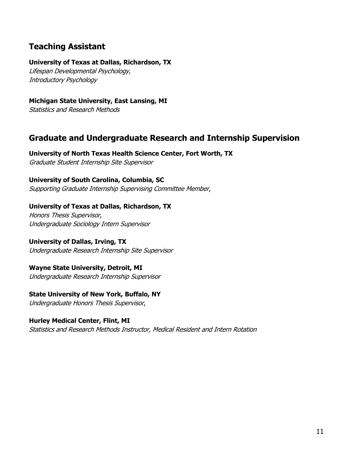## **Teaching Assistant**

#### **University of Texas at Dallas, Richardson, TX**

Lifespan Developmental Psychology, Introductory Psychology

#### **Michigan State University, East Lansing, MI**

Statistics and Research Methods

## **Graduate and Undergraduate Research and Internship Supervision**

**University of North Texas Health Science Center, Fort Worth, TX** Graduate Student Internship Site Supervisor

**University of South Carolina, Columbia, SC**

Supporting Graduate Internship Supervising Committee Member,

#### **University of Texas at Dallas, Richardson, TX**

Honors Thesis Supervisor, Undergraduate Sociology Intern Supervisor

#### **University of Dallas, Irving, TX**

Undergraduate Research Internship Site Supervisor

#### **Wayne State University, Detroit, MI**

Undergraduate Research Internship Supervisor

#### **State University of New York, Buffalo, NY**

Undergraduate Honors Thesis Supervisor,

#### **Hurley Medical Center, Flint, MI**

Statistics and Research Methods Instructor, Medical Resident and Intern Rotation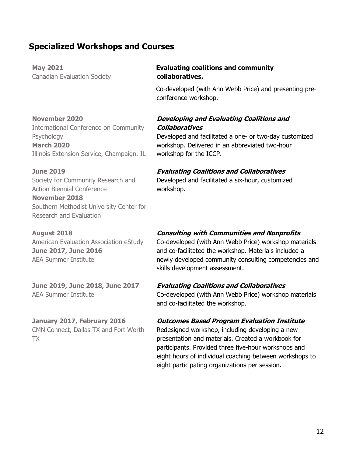## **Specialized Workshops and Courses**

**May 2021** Canadian Evaluation Society

#### **November 2020**

International Conference on Community Psychology **March 2020** Illinois Extension Service, Champaign, IL

#### **June 2019**

Society for Community Research and Action Biennial Conference **November 2018**

Southern Methodist University Center for Research and Evaluation

#### **August 2018** American Evaluation Association eStudy **June 2017, June 2016** AEA Summer Institute

**June 2019, June 2018, June 2017** AEA Summer Institute

## **January 2017, February 2016**

CMN Connect, Dallas TX and Fort Worth TX

#### **Evaluating coalitions and community collaboratives.**

Co-developed (with Ann Webb Price) and presenting preconference workshop.

#### **Developing and Evaluating Coalitions and Collaboratives**

Developed and facilitated a one- or two-day customized workshop. Delivered in an abbreviated two-hour workshop for the ICCP.

#### **Evaluating Coalitions and Collaboratives**

Developed and facilitated a six-hour, customized workshop.

#### **Consulting with Communities and Nonprofits**

Co-developed (with Ann Webb Price) workshop materials and co-facilitated the workshop. Materials included a newly developed community consulting competencies and skills development assessment.

#### **Evaluating Coalitions and Collaboratives**

Co-developed (with Ann Webb Price) workshop materials and co-facilitated the workshop.

#### **Outcomes Based Program Evaluation Institute**

Redesigned workshop, including developing a new presentation and materials. Created a workbook for participants. Provided three five-hour workshops and eight hours of individual coaching between workshops to eight participating organizations per session.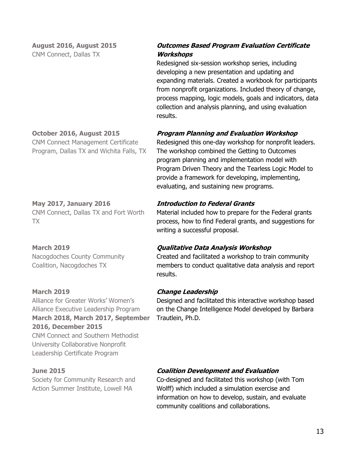**August 2016, August 2015** CNM Connect, Dallas TX

#### **Outcomes Based Program Evaluation Certificate Workshops**

Redesigned six-session workshop series, including developing a new presentation and updating and expanding materials. Created a workbook for participants from nonprofit organizations. Included theory of change, process mapping, logic models, goals and indicators, data collection and analysis planning, and using evaluation results.

#### **Program Planning and Evaluation Workshop**

Redesigned this one-day workshop for nonprofit leaders. The workshop combined the Getting to Outcomes program planning and implementation model with Program Driven Theory and the Tearless Logic Model to provide a framework for developing, implementing, evaluating, and sustaining new programs.

#### **Introduction to Federal Grants**

Material included how to prepare for the Federal grants process, how to find Federal grants, and suggestions for writing a successful proposal.

#### **Qualitative Data Analysis Workshop**

Created and facilitated a workshop to train community members to conduct qualitative data analysis and report results.

#### **Change Leadership**

Designed and facilitated this interactive workshop based on the Change Intelligence Model developed by Barbara Trautlein, Ph.D.

## **October 2016, August 2015**

CNM Connect Management Certificate Program, Dallas TX and Wichita Falls, TX

#### **May 2017, January 2016** CNM Connect, Dallas TX and Fort Worth

TX

#### **March 2019**

Nacogdoches County Community Coalition, Nacogdoches TX

#### **March 2019**

Alliance for Greater Works' Women's Alliance Executive Leadership Program **March 2018, March 2017, September 2016, December 2015** CNM Connect and Southern Methodist University Collaborative Nonprofit Leadership Certificate Program

#### **June 2015**

Society for Community Research and Action Summer Institute, Lowell MA

#### **Coalition Development and Evaluation**

Co-designed and facilitated this workshop (with Tom Wolff) which included a simulation exercise and information on how to develop, sustain, and evaluate community coalitions and collaborations.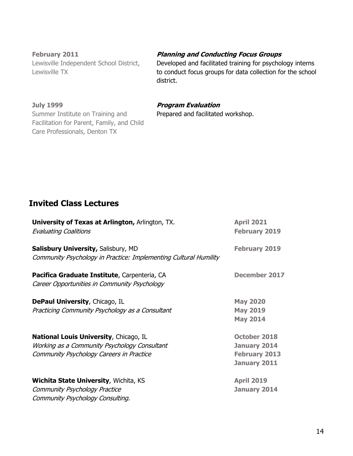**February 2011** Lewisville Independent School District, Lewisville TX

#### **July 1999**

Summer Institute on Training and Facilitation for Parent, Family, and Child Care Professionals, Denton TX

#### **Planning and Conducting Focus Groups**

Developed and facilitated training for psychology interns to conduct focus groups for data collection for the school district.

#### **Program Evaluation**

Prepared and facilitated workshop.

## **Invited Class Lectures**

| University of Texas at Arlington, Arlington, TX.<br><b>Evaluating Coalitions</b>                                                          | <b>April 2021</b><br><b>February 2019</b>                                   |
|-------------------------------------------------------------------------------------------------------------------------------------------|-----------------------------------------------------------------------------|
| <b>Salisbury University, Salisbury, MD</b><br>Community Psychology in Practice: Implementing Cultural Humility                            | <b>February 2019</b>                                                        |
| Pacifica Graduate Institute, Carpenteria, CA<br>Career Opportunities in Community Psychology                                              | <b>December 2017</b>                                                        |
| <b>DePaul University, Chicago, IL</b><br>Practicing Community Psychology as a Consultant                                                  | <b>May 2020</b><br><b>May 2019</b><br><b>May 2014</b>                       |
| <b>National Louis University, Chicago, IL</b><br>Working as a Community Psychology Consultant<br>Community Psychology Careers in Practice | <b>October 2018</b><br>January 2014<br><b>February 2013</b><br>January 2011 |
| <b>Wichita State University, Wichita, KS</b><br>Community Psychology Practice<br>Community Psychology Consulting.                         | <b>April 2019</b><br>January 2014                                           |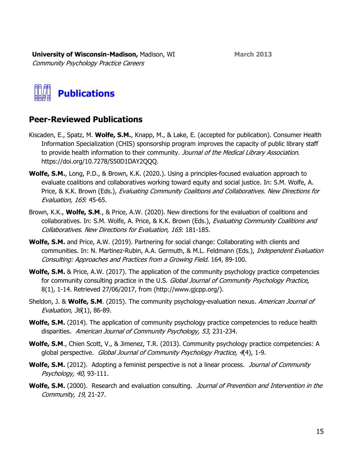**March 2013**

**University of Wisconsin-Madison,** Madison, WI Community Psychology Practice Careers



## **Peer-Reviewed Publications**

- Kiscaden, E., Spatz, M. **Wolfe, S.M.**, Knapp, M., & Lake, E. (accepted for publication). Consumer Health Information Specialization (CHIS) sponsorship program improves the capacity of public library staff to provide health information to their community. Journal of the Medical Library Association. https://doi.org/10.7278/S50D1DAY2QQQ.
- **Wolfe, S.M.**, Long, P.D., & Brown, K.K. (2020.). Using a principles-focused evaluation approach to evaluate coalitions and collaboratives working toward equity and social justice. In: S.M. Wolfe, A. Price, & K.K. Brown (Eds.), Evaluating Community Coalitions and Collaboratives. New Directions for Evaluation, 165: 45-65.
- Brown, K.K., **Wolfe, S.M**., & Price, A.W. (2020). New directions for the evaluation of coalitions and collaboratives. In: S.M. Wolfe, A. Price, & K.K. Brown (Eds.), Evaluating Community Coalitions and Collaboratives. New Directions for Evaluation, 165: 181-185.
- **Wolfe, S.M.** and Price, A.W. (2019). Partnering for social change: Collaborating with clients and communities. In: N. Martinez-Rubin, A.A. Germuth, & M.L. Feldmann (Eds.), *Independent Evaluation* Consulting: Approaches and Practices from a Growing Field. 164, 89-100.
- **Wolfe, S.M.** & Price, A.W. (2017). The application of the community psychology practice competencies for community consulting practice in the U.S. Global Journal of Community Psychology Practice, 8(1), 1-14. Retrieved 27/06/2017, from (http://www.gjcpp.org/).
- Sheldon, J. & **Wolfe, S.M**. (2015). The community psychology-evaluation nexus. American Journal of Evaluation, 36(1), 86-89.
- **Wolfe, S.M.** (2014). The application of community psychology practice competencies to reduce health disparities. American Journal of Community Psychology, 53, 231-234.
- **Wolfe, S.M**., Chien Scott, V., & Jimenez, T.R. (2013). Community psychology practice competencies: A global perspective. Global Journal of Community Psychology Practice, 4(4), 1-9.
- **Wolfe, S.M.** (2012). Adopting a feminist perspective is not a linear process. *Journal of Community* Psychology, 40, 93-111.
- Wolfe, S.M. (2000). Research and evaluation consulting. Journal of Prevention and Intervention in the Community, 19, 21-27.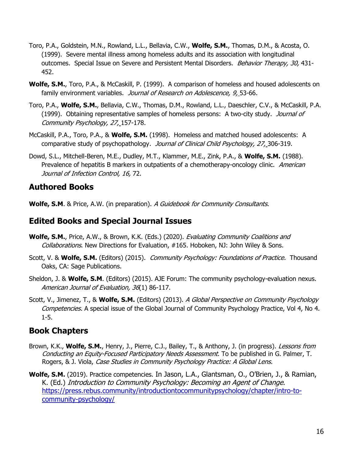- Toro, P.A., Goldstein, M.N., Rowland, L.L., Bellavia, C.W., **Wolfe, S.M.**, Thomas, D.M., & Acosta, O. (1999). Severe mental illness among homeless adults and its association with longitudinal outcomes. Special Issue on Severe and Persistent Mental Disorders. *Behavior Therapy, 30,* 431-452.
- **Wolfe, S.M.**, Toro, P.A., & McCaskill, P. (1999). A comparison of homeless and housed adolescents on family environment variables. Journal of Research on Adolescence, 9, 53-66.
- Toro, P.A., **Wolfe, S.M.**, Bellavia, C.W., Thomas, D.M., Rowland, L.L., Daeschler, C.V., & McCaskill, P.A. (1999). Obtaining representative samples of homeless persons: A two-city study. Journal of Community Psychology, 27, 157-178.
- McCaskill, P.A., Toro, P.A., & **Wolfe, S.M.** (1998). Homeless and matched housed adolescents: A comparative study of psychopathology. Journal of Clinical Child Psychology, 27, 306-319.
- Dowd, S.L., Mitchell-Beren, M.E., Dudley, M.T., Klammer, M.E., Zink, P.A., & **Wolfe, S.M.** (1988). Prevalence of hepatitis B markers in outpatients of a chemotherapy-oncology clinic. American Journal of Infection Control, 16, 72.

## **Authored Books**

**Wolfe, S.M**. & Price, A.W. (in preparation). A Guidebook for Community Consultants.

## **Edited Books and Special Journal Issues**

- **Wolfe, S.M.**, Price, A.W., & Brown, K.K. (Eds.) (2020). *Evaluating Community Coalitions and* Collaborations. New Directions for Evaluation, #165. Hoboken, NJ: John Wiley & Sons.
- Scott, V. & **Wolfe, S.M.** (Editors) (2015). Community Psychology: Foundations of Practice. Thousand Oaks, CA: Sage Publications.
- Sheldon, J. & **Wolfe, S.M**. (Editors) (2015). AJE Forum: The community psychology-evaluation nexus. American Journal of Evaluation, 36(1) 86-117.
- Scott, V., Jimenez, T., & **Wolfe, S.M.** (Editors) (2013). A Global Perspective on Community Psychology Competencies. A special issue of the Global Journal of Community Psychology Practice, Vol 4, No 4. 1-5.

## **Book Chapters**

- Brown, K.K., **Wolfe, S.M.**, Henry, J., Pierre, C.J., Bailey, T., & Anthony, J. (in progress). Lessons from Conducting an Equity-Focused Participatory Needs Assessment. To be published in G. Palmer, T. Rogers, & J. Viola, Case Studies in Community Psychology Practice: A Global Lens.
- **Wolfe, S.M.** (2019). Practice competencies. In Jason, L.A., Glantsman, O., O'Brien, J., & Ramian, K. (Ed.) Introduction to Community Psychology: Becoming an Agent of Change. [https://press.rebus.community/introductiontocommunitypsychology/chapter/intro-to](https://press.rebus.community/introductiontocommunitypsychology/chapter/intro-to-community-psychology/)[community-psychology/](https://press.rebus.community/introductiontocommunitypsychology/chapter/intro-to-community-psychology/)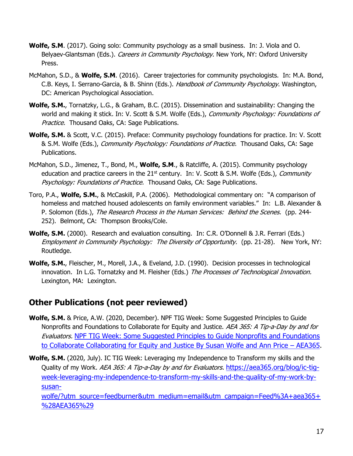- **Wolfe, S.M**. (2017). Going solo: Community psychology as a small business. In: J. Viola and O. Belyaev-Glantsman (Eds.). *Careers in Community Psychology*. New York, NY: Oxford University Press.
- McMahon, S.D., & **Wolfe, S.M**. (2016). Career trajectories for community psychologists. In: M.A. Bond, C.B. Keys, I. Serrano-Garcia, & B. Shinn (Eds.). Handbook of Community Psychology. Washington, DC: American Psychological Association.
- **Wolfe, S.M.**, Tornatzky, L.G., & Graham, B.C. (2015). Dissemination and sustainability: Changing the world and making it stick. In: V. Scott & S.M. Wolfe (Eds.), Community Psychology: Foundations of Practice. Thousand Oaks, CA: Sage Publications.
- **Wolfe, S.M.** & Scott, V.C. (2015). Preface: Community psychology foundations for practice. In: V. Scott & S.M. Wolfe (Eds.), *Community Psychology: Foundations of Practice*. Thousand Oaks, CA: Sage Publications.
- McMahon, S.D., Jimenez, T., Bond, M., **Wolfe, S.M**., & Ratcliffe, A. (2015). Community psychology education and practice careers in the  $21<sup>st</sup>$  century. In: V. Scott & S.M. Wolfe (Eds.), *Community* Psychology: Foundations of Practice. Thousand Oaks, CA: Sage Publications.
- Toro, P.A., **Wolfe, S.M.**, & McCaskill, P.A. (2006). Methodological commentary on: "A comparison of homeless and matched housed adolescents on family environment variables." In: L.B. Alexander & P. Solomon (Eds.), The Research Process in the Human Services: Behind the Scenes. (pp. 244-252). Belmont, CA: Thompson Brooks/Cole.
- **Wolfe, S.M.** (2000). Research and evaluation consulting. In: C.R. O'Donnell & J.R. Ferrari (Eds.) Employment in Community Psychology: The Diversity of Opportunity. (pp. 21-28). New York, NY: Routledge.
- **Wolfe, S.M.**, Fleischer, M., Morell, J.A., & Eveland, J.D. (1990). Decision processes in technological innovation. In L.G. Tornatzky and M. Fleisher (Eds.) The Processes of Technological Innovation. Lexington, MA: Lexington.

## **Other Publications (not peer reviewed)**

- **Wolfe, S.M.** & Price, A.W. (2020, December). NPF TIG Week: Some Suggested Principles to Guide Nonprofits and Foundations to Collaborate for Equity and Justice. AEA 365: A Tip-a-Day by and for Evaluators. [NPF TIG Week: Some Suggested Principles to Guide Nonprofits and Foundations](https://aea365.org/blog/npf-tig-week-some-suggested-principles-to-guide-nonprofits-and-foundations-to-collaborate-collaborating-for-equity-and-justice-by-susan-wolfe-and-ann-price/?utm_source=feedburner&utm_medium=email&utm_campaign=Feed%3A+aea365+%28AEA365%29)  [to Collaborate Collaborating for Equity and Justice By Susan Wolfe and Ann Price](https://aea365.org/blog/npf-tig-week-some-suggested-principles-to-guide-nonprofits-and-foundations-to-collaborate-collaborating-for-equity-and-justice-by-susan-wolfe-and-ann-price/?utm_source=feedburner&utm_medium=email&utm_campaign=Feed%3A+aea365+%28AEA365%29) – AEA365.
- **Wolfe, S.M.** (2020, July). IC TIG Week: Leveraging my Independence to Transform my skills and the Quality of my Work. AEA 365: A Tip-a-Day by and for Evaluators. [https://aea365.org/blog/ic-tig](https://aea365.org/blog/ic-tig-week-leveraging-my-independence-to-transform-my-skills-and-the-quality-of-my-work-by-susan-wolfe/?utm_source=feedburner&utm_medium=email&utm_campaign=Feed%3A+aea365+%28AEA365%29)[week-leveraging-my-independence-to-transform-my-skills-and-the-quality-of-my-work-by](https://aea365.org/blog/ic-tig-week-leveraging-my-independence-to-transform-my-skills-and-the-quality-of-my-work-by-susan-wolfe/?utm_source=feedburner&utm_medium=email&utm_campaign=Feed%3A+aea365+%28AEA365%29)[susan-](https://aea365.org/blog/ic-tig-week-leveraging-my-independence-to-transform-my-skills-and-the-quality-of-my-work-by-susan-wolfe/?utm_source=feedburner&utm_medium=email&utm_campaign=Feed%3A+aea365+%28AEA365%29)

[wolfe/?utm\\_source=feedburner&utm\\_medium=email&utm\\_campaign=Feed%3A+aea365+](https://aea365.org/blog/ic-tig-week-leveraging-my-independence-to-transform-my-skills-and-the-quality-of-my-work-by-susan-wolfe/?utm_source=feedburner&utm_medium=email&utm_campaign=Feed%3A+aea365+%28AEA365%29) [%28AEA365%29](https://aea365.org/blog/ic-tig-week-leveraging-my-independence-to-transform-my-skills-and-the-quality-of-my-work-by-susan-wolfe/?utm_source=feedburner&utm_medium=email&utm_campaign=Feed%3A+aea365+%28AEA365%29)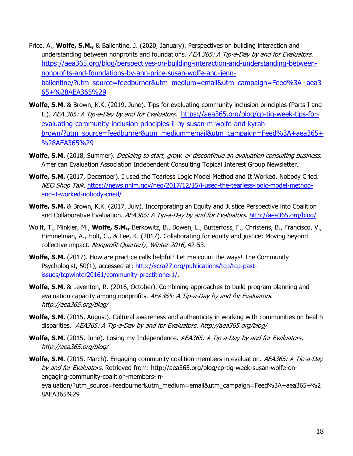- Price, A., **Wolfe, S.M.,** & Ballentine, J. (2020, January). Perspectives on building interaction and understanding between nonprofits and foundations. AEA 365: A Tip-a-Day by and for Evaluators. [https://aea365.org/blog/perspectives-on-building-interaction-and-understanding-between](https://aea365.org/blog/perspectives-on-building-interaction-and-understanding-between-nonprofits-and-foundations-by-ann-price-susan-wolfe-and-jenn-ballentine/?utm_source=feedburner&utm_medium=email&utm_campaign=Feed%3A+aea365+%28AEA365%29)[nonprofits-and-foundations-by-ann-price-susan-wolfe-and-jenn](https://aea365.org/blog/perspectives-on-building-interaction-and-understanding-between-nonprofits-and-foundations-by-ann-price-susan-wolfe-and-jenn-ballentine/?utm_source=feedburner&utm_medium=email&utm_campaign=Feed%3A+aea365+%28AEA365%29)[ballentine/?utm\\_source=feedburner&utm\\_medium=email&utm\\_campaign=Feed%3A+aea3](https://aea365.org/blog/perspectives-on-building-interaction-and-understanding-between-nonprofits-and-foundations-by-ann-price-susan-wolfe-and-jenn-ballentine/?utm_source=feedburner&utm_medium=email&utm_campaign=Feed%3A+aea365+%28AEA365%29) [65+%28AEA365%29](https://aea365.org/blog/perspectives-on-building-interaction-and-understanding-between-nonprofits-and-foundations-by-ann-price-susan-wolfe-and-jenn-ballentine/?utm_source=feedburner&utm_medium=email&utm_campaign=Feed%3A+aea365+%28AEA365%29)
- **Wolfe, S.M.** & Brown, K.K. (2019, June). Tips for evaluating community inclusion principles (Parts I and II). AEA 365: A Tip-a-Day by and for Evaluators. [https://aea365.org/blog/cp-tig-week-tips-for](https://aea365.org/blog/cp-tig-week-tips-for-evaluating-community-inclusion-principles-ii-by-susan-m-wolfe-and-kyrah-brown/?utm_source=feedburner&utm_medium=email&utm_campaign=Feed%3A+aea365+%28AEA365%29)[evaluating-community-inclusion-principles-ii-by-susan-m-wolfe-and-kyrah](https://aea365.org/blog/cp-tig-week-tips-for-evaluating-community-inclusion-principles-ii-by-susan-m-wolfe-and-kyrah-brown/?utm_source=feedburner&utm_medium=email&utm_campaign=Feed%3A+aea365+%28AEA365%29)[brown/?utm\\_source=feedburner&utm\\_medium=email&utm\\_campaign=Feed%3A+aea365+](https://aea365.org/blog/cp-tig-week-tips-for-evaluating-community-inclusion-principles-ii-by-susan-m-wolfe-and-kyrah-brown/?utm_source=feedburner&utm_medium=email&utm_campaign=Feed%3A+aea365+%28AEA365%29) [%28AEA365%29](https://aea365.org/blog/cp-tig-week-tips-for-evaluating-community-inclusion-principles-ii-by-susan-m-wolfe-and-kyrah-brown/?utm_source=feedburner&utm_medium=email&utm_campaign=Feed%3A+aea365+%28AEA365%29)
- **Wolfe, S.M.** (2018, Summer). Deciding to start, grow, or discontinue an evaluation consulting business. American Evaluation Association Independent Consulting Topical Interest Group Newsletter.
- **Wolfe, S.M.** (2017, December). I used the Tearless Logic Model Method and It Worked. Nobody Cried. NEO Shop Talk. [https://news.nnlm.gov/neo/2017/12/15/i-used-the-tearless-logic-model-method](https://news.nnlm.gov/neo/2017/12/15/i-used-the-tearless-logic-model-method-and-it-worked-nobody-cried/)[and-it-worked-nobody-cried/](https://news.nnlm.gov/neo/2017/12/15/i-used-the-tearless-logic-model-method-and-it-worked-nobody-cried/)
- **Wolfe, S.M.** & Brown, K.K. (2017, July). Incorporating an Equity and Justice Perspective into Coalition and Collaborative Evaluation. AEA365: A Tip-a-Day by and for Evaluators. <http://aea365.org/blog/>
- Wolff, T., Minkler, M., **Wolfe, S.M.,** Berkowitz, B., Bowen, L., Butterfoss, F., Christens, B., Francisco, V., Himmelman, A., Holt, C., & Lee, K. (2017). Collaborating for equity and justice: Moving beyond collective impact. Nonprofit Quarterly, Winter 2016, 42-53.
- **Wolfe, S.M.** (2017). How are practice calls helpful? Let me count the ways! The Community Psychologist, 50(1), accessed at: [http://scra27.org/publications/tcp/tcp-past](http://scra27.org/publications/tcp/tcp-past-issues/tcpwinter20161/community-practitioner1/)[issues/tcpwinter20161/community-practitioner1/.](http://scra27.org/publications/tcp/tcp-past-issues/tcpwinter20161/community-practitioner1/)
- **Wolfe, S.M.** & Leventon, R. (2016, October). Combining approaches to build program planning and evaluation capacity among nonprofits. AEA365: A Tip-a-Day by and for Evaluators. http://aea365.org/blog/
- **Wolfe, S.M.** (2015, August). Cultural awareness and authenticity in working with communities on health disparities. AEA365: A Tip-a-Day by and for Evaluators. http://aea365.org/blog/
- Wolfe, S.M. (2015, June). Losing my Independence. AEA365: A Tip-a-Day by and for Evaluators. http://aea365.org/blog/
- **Wolfe, S.M.** (2015, March). Engaging community coalition members in evaluation. *AEA365: A Tip-a-Day* by and for Evaluators. Retrieved from: http://aea365.org/blog/cp-tig-week-susan-wolfe-onengaging-community-coalition-members-inevaluation/?utm\_source=feedburner&utm\_medium=email&utm\_campaign=Feed%3A+aea365+%2 8AEA365%29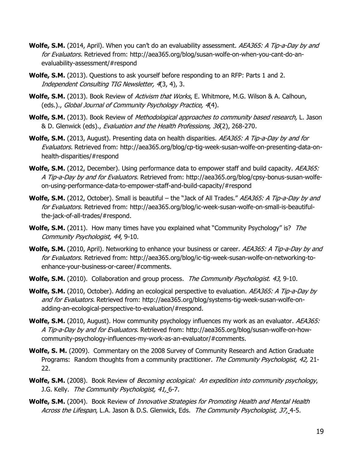- **Wolfe, S.M.** (2014, April). When you can't do an evaluability assessment. AEA365: A Tip-a-Day by and for Evaluators. Retrieved from: http://aea365.org/blog/susan-wolfe-on-when-you-cant-do-anevaluability-assessment/#respond
- **Wolfe, S.M.** (2013). Questions to ask yourself before responding to an RFP: Parts 1 and 2. Independent Consulting TIG Newsletter, 4(3, 4), 3.
- **Wolfe, S.M.** (2013). Book Review of Activism that Works, E. Whitmore, M.G. Wilson & A. Calhoun, (eds.)., Global Journal of Community Psychology Practice, 4(4).
- **Wolfe, S.M.** (2013). Book Review of *Methodological approaches to community based research*, L. Jason & D. Glenwick (eds)., Evaluation and the Health Professions, 36(2), 268-270.
- **Wolfe, S.M.** (2013, August). Presenting data on health disparities. AEA365: A Tip-a-Day by and for Evaluators. Retrieved from: http://aea365.org/blog/cp-tig-week-susan-wolfe-on-presenting-data-onhealth-disparities/#respond
- **Wolfe, S.M.** (2012, December). Using performance data to empower staff and build capacity. AEA365: A Tip-a-Day by and for Evaluators. Retrieved from: http://aea365.org/blog/cpsy-bonus-susan-wolfeon-using-performance-data-to-empower-staff-and-build-capacity/#respond
- **Wolfe, S.M.** (2012, October). Small is beautiful the "Jack of All Trades." AEA365: A Tip-a-Day by and for Evaluators. Retrieved from: http://aea365.org/blog/ic-week-susan-wolfe-on-small-is-beautifulthe-jack-of-all-trades/#respond.
- **Wolfe, S.M.** (2011). How many times have you explained what "Community Psychology" is? *The* Community Psychologist, 44, 9-10.
- **Wolfe, S.M.** (2010, April). Networking to enhance your business or career. AEA365: A Tip-a-Day by and for Evaluators. Retrieved from: http://aea365.org/blog/ic-tig-week-susan-wolfe-on-networking-toenhance-your-business-or-career/#comments.
- Wolfe, S.M. (2010). Collaboration and group process. The Community Psychologist. 43, 9-10.
- **Wolfe, S.M.** (2010, October). Adding an ecological perspective to evaluation. AEA365: A Tip-a-Day by and for Evaluators. Retrieved from: http://aea365.org/blog/systems-tig-week-susan-wolfe-onadding-an-ecological-perspective-to-evaluation/#respond.
- **Wolfe, S.M.** (2010, August). How community psychology influences my work as an evaluator. AEA365: A Tip-a-Day by and for Evaluators. Retrieved from: http://aea365.org/blog/susan-wolfe-on-howcommunity-psychology-influences-my-work-as-an-evaluator/#comments.
- **Wolfe, S. M.** (2009). Commentary on the 2008 Survey of Community Research and Action Graduate Programs: Random thoughts from a community practitioner. The Community Psychologist, 42, 21-22.
- **Wolfe, S.M.** (2008). Book Review of Becoming ecological: An expedition into community psychology, J.G. Kelly. The Community Psychologist, 41, 6-7.
- **Wolfe, S.M.** (2004). Book Review of Innovative Strategies for Promoting Health and Mental Health Across the Lifespan, L.A. Jason & D.S. Glenwick, Eds. The Community Psychologist, 37, 4-5.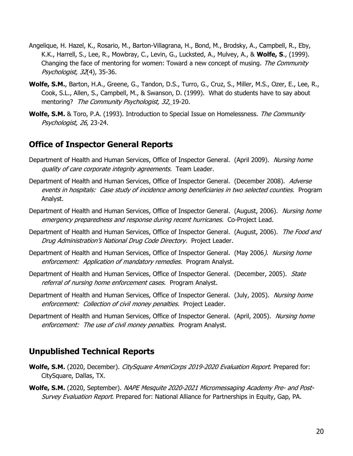- Angelique, H. Hazel, K., Rosario, M., Barton-Villagrana, H., Bond, M., Brodsky, A., Campbell, R., Eby, K.K., Harrell, S., Lee, R., Mowbray, C., Levin, G., Lucksted, A., Mulvey, A., & **Wolfe, S**., (1999). Changing the face of mentoring for women: Toward a new concept of musing. The Community Psychologist, 32(4), 35-36.
- **Wolfe, S.M.**, Barton, H.A., Greene, G., Tandon, D.S., Turro, G., Cruz, S., Miller, M.S., Ozer, E., Lee, R., Cook, S.L., Allen, S., Campbell, M., & Swanson, D. (1999). What do students have to say about mentoring? The Community Psychologist, 32, 19-20.
- **Wolfe, S.M.** & Toro, P.A. (1993). Introduction to Special Issue on Homelessness. The Community Psychologist, 26, 23-24.

## **Office of Inspector General Reports**

- Department of Health and Human Services, Office of Inspector General. (April 2009). Nursing home quality of care corporate integrity agreements. Team Leader.
- Department of Health and Human Services, Office of Inspector General. (December 2008). Adverse events in hospitals: Case study of incidence among beneficiaries in two selected counties. Program Analyst.
- Department of Health and Human Services, Office of Inspector General. (August, 2006). Nursing home emergency preparedness and response during recent hurricanes. Co-Project Lead.
- Department of Health and Human Services, Office of Inspector General. (August, 2006). The Food and Drug Administration's National Drug Code Directory. Project Leader.
- Department of Health and Human Services, Office of Inspector General. (May 2006). Nursing home enforcement: Application of mandatory remedies. Program Analyst.
- Department of Health and Human Services, Office of Inspector General. (December, 2005). State referral of nursing home enforcement cases. Program Analyst.
- Department of Health and Human Services, Office of Inspector General. (July, 2005). Nursing home enforcement: Collection of civil money penalties. Project Leader.
- Department of Health and Human Services, Office of Inspector General. (April, 2005). Nursing home enforcement: The use of civil money penalties. Program Analyst.

## **Unpublished Technical Reports**

- Wolfe, S.M. (2020, December). CitySquare AmeriCorps 2019-2020 Evaluation Report. Prepared for: CitySquare, Dallas, TX.
- **Wolfe, S.M.** (2020, September). NAPE Mesquite 2020-2021 Micromessaging Academy Pre- and Post-Survey Evaluation Report. Prepared for: National Alliance for Partnerships in Equity, Gap, PA.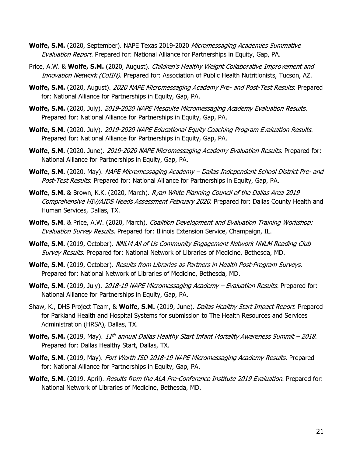- **Wolfe, S.M.** (2020, September). NAPE Texas 2019-2020 Micromessaging Academies Summative Evaluation Report. Prepared for: National Alliance for Partnerships in Equity, Gap, PA.
- Price, A.W. & **Wolfe, S.M.** (2020, August). Children's Healthy Weight Collaborative Improvement and Innovation Network (CoIIN). Prepared for: Association of Public Health Nutritionists, Tucson, AZ.
- **Wolfe, S.M.** (2020, August). 2020 NAPE Micromessaging Academy Pre- and Post-Test Results. Prepared for: National Alliance for Partnerships in Equity, Gap, PA.
- **Wolfe, S.M.** (2020, July). 2019-2020 NAPE Mesquite Micromessaging Academy Evaluation Results. Prepared for: National Alliance for Partnerships in Equity, Gap, PA.
- **Wolfe, S.M.** (2020, July). 2019-2020 NAPE Educational Equity Coaching Program Evaluation Results. Prepared for: National Alliance for Partnerships in Equity, Gap, PA.
- **Wolfe, S.M.** (2020, June). 2019-2020 NAPE Micromessaging Academy Evaluation Results. Prepared for: National Alliance for Partnerships in Equity, Gap, PA.
- **Wolfe, S.M.** (2020, May). NAPE Micromessaging Academy Dallas Independent School District Pre- and Post-Test Results. Prepared for: National Alliance for Partnerships in Equity, Gap, PA.
- **Wolfe, S.M.** & Brown, K.K. (2020, March). Ryan White Planning Council of the Dallas Area 2019 Comprehensive HIV/AIDS Needs Assessment February 2020. Prepared for: Dallas County Health and Human Services, Dallas, TX.
- **Wolfe, S.M.** & Price, A.W. (2020, March). *Coalition Development and Evaluation Training Workshop:* Evaluation Survey Results. Prepared for: Illinois Extension Service, Champaign, IL.
- Wolfe, S.M. (2019, October). NNLM All of Us Community Engagement Network NNLM Reading Club Survey Results. Prepared for: National Network of Libraries of Medicine, Bethesda, MD.
- **Wolfe, S.M.** (2019, October). Results from Libraries as Partners in Health Post-Program Surveys. Prepared for: National Network of Libraries of Medicine, Bethesda, MD.
- **Wolfe, S.M.** (2019, July). 2018-19 NAPE Micromessaging Academy Evaluation Results. Prepared for: National Alliance for Partnerships in Equity, Gap, PA.
- Shaw, K., DHS Project Team, & **Wolfe, S.M.** (2019, June). Dallas Healthy Start Impact Report. Prepared for Parkland Health and Hospital Systems for submission to The Health Resources and Services Administration (HRSA), Dallas, TX.
- **Wolfe, S.M.** (2019, May). 11<sup>th</sup> annual Dallas Healthy Start Infant Mortality Awareness Summit 2018. Prepared for: Dallas Healthy Start, Dallas, TX.
- **Wolfe, S.M.** (2019, May). Fort Worth ISD 2018-19 NAPE Micromessaging Academy Results. Prepared for: National Alliance for Partnerships in Equity, Gap, PA.
- **Wolfe, S.M.** (2019, April). Results from the ALA Pre-Conference Institute 2019 Evaluation. Prepared for: National Network of Libraries of Medicine, Bethesda, MD.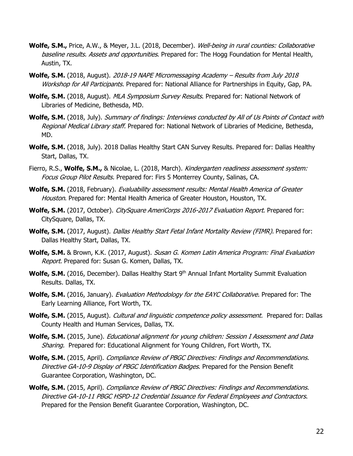- **Wolfe, S.M.,** Price, A.W., & Meyer, J.L. (2018, December). *Well-being in rural counties: Collaborative* baseline results. Assets and opportunities. Prepared for: The Hogg Foundation for Mental Health, Austin, TX.
- **Wolfe, S.M.** (2018, August). 2018-19 NAPE Micromessaging Academy Results from July 2018 Workshop for All Participants. Prepared for: National Alliance for Partnerships in Equity, Gap, PA.
- Wolfe, S.M. (2018, August). MLA Symposium Survey Results. Prepared for: National Network of Libraries of Medicine, Bethesda, MD.
- **Wolfe, S.M.** (2018, July). Summary of findings: Interviews conducted by All of Us Points of Contact with Regional Medical Library staff. Prepared for: National Network of Libraries of Medicine, Bethesda, MD.
- **Wolfe, S.M.** (2018, July). 2018 Dallas Healthy Start CAN Survey Results. Prepared for: Dallas Healthy Start, Dallas, TX.
- Fierro, R.S., **Wolfe, S.M.,** & Nicolae, L. (2018, March). Kindergarten readiness assessment system: Focus Group Pilot Results. Prepared for: Firs 5 Monterrey County, Salinas, CA.
- **Wolfe, S.M.** (2018, February). Evaluability assessment results: Mental Health America of Greater Houston. Prepared for: Mental Health America of Greater Houston, Houston, TX.
- **Wolfe, S.M.** (2017, October). CitySquare AmeriCorps 2016-2017 Evaluation Report. Prepared for: CitySquare, Dallas, TX.
- **Wolfe, S.M.** (2017, August). Dallas Healthy Start Fetal Infant Mortality Review (FIMR). Prepared for: Dallas Healthy Start, Dallas, TX.
- **Wolfe, S.M.** & Brown, K.K. (2017, August). Susan G. Komen Latin America Program: Final Evaluation Report. Prepared for: Susan G. Komen, Dallas, TX.
- Wolfe, S.M. (2016, December). Dallas Healthy Start 9<sup>th</sup> Annual Infant Mortality Summit Evaluation Results. Dallas, TX.
- Wolfe, S.M. (2016, January). *Evaluation Methodology for the EAYC Collaborative.* Prepared for: The Early Learning Alliance, Fort Worth, TX.
- Wolfe, S.M. (2015, August). Cultural and linguistic competence policy assessment. Prepared for: Dallas County Health and Human Services, Dallas, TX.
- **Wolfe, S.M.** (2015, June). Educational alignment for young children: Session I Assessment and Data Sharing. Prepared for: Educational Alignment for Young Children, Fort Worth, TX.
- **Wolfe, S.M.** (2015, April). Compliance Review of PBGC Directives: Findings and Recommendations. Directive GA-10-9 Display of PBGC Identification Badges. Prepared for the Pension Benefit Guarantee Corporation, Washington, DC.
- **Wolfe, S.M.** (2015, April). Compliance Review of PBGC Directives: Findings and Recommendations. Directive GA-10-11 PBGC HSPD-12 Credential Issuance for Federal Employees and Contractors. Prepared for the Pension Benefit Guarantee Corporation, Washington, DC.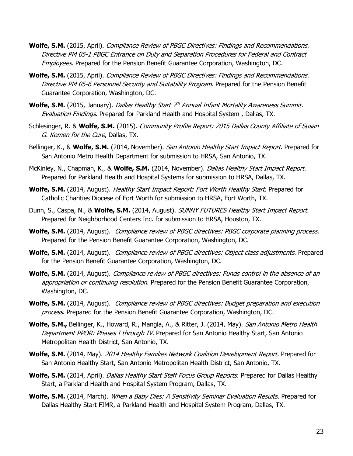- **Wolfe, S.M.** (2015, April). Compliance Review of PBGC Directives: Findings and Recommendations. Directive PM 05-1 PBGC Entrance on Duty and Separation Procedures for Federal and Contract Employees. Prepared for the Pension Benefit Guarantee Corporation, Washington, DC.
- **Wolfe, S.M.** (2015, April). Compliance Review of PBGC Directives: Findings and Recommendations. Directive PM 05-6 Personnel Security and Suitability Program. Prepared for the Pension Benefit Guarantee Corporation, Washington, DC.
- Wolfe, S.M. (2015, January). *Dallas Healthy Start 7<sup>th</sup> Annual Infant Mortality Awareness Summit.* Evaluation Findings. Prepared for Parkland Health and Hospital System , Dallas, TX.
- Schlesinger, R. & **Wolfe, S.M.** (2015). Community Profile Report: 2015 Dallas County Affiliate of Susan G. Komen for the Cure, Dallas, TX.
- Bellinger, K., & **Wolfe, S.M.** (2014, November). San Antonio Healthy Start Impact Report. Prepared for San Antonio Metro Health Department for submission to HRSA, San Antonio, TX.
- McKinley, N., Chapman, K., & **Wolfe, S.M.** (2014, November). Dallas Healthy Start Impact Report. Prepared for Parkland Health and Hospital Systems for submission to HRSA, Dallas, TX.
- **Wolfe, S.M.** (2014, August). Healthy Start Impact Report: Fort Worth Healthy Start. Prepared for Catholic Charities Diocese of Fort Worth for submission to HRSA, Fort Worth, TX.
- Dunn, S., Caspa, N., & **Wolfe, S.M.** (2014, August). SUNNY FUTURES Healthy Start Impact Report. Prepared for Neighborhood Centers Inc. for submission to HRSA, Houston, TX.
- **Wolfe, S.M.** (2014, August). Compliance review of PBGC directives: PBGC corporate planning process. Prepared for the Pension Benefit Guarantee Corporation, Washington, DC.
- **Wolfe, S.M.** (2014, August). *Compliance review of PBGC directives: Object class adjustments*. Prepared for the Pension Benefit Guarantee Corporation, Washington, DC.
- **Wolfe, S.M.** (2014, August). Compliance review of PBGC directives: Funds control in the absence of an appropriation or continuing resolution. Prepared for the Pension Benefit Guarantee Corporation, Washington, DC.
- **Wolfe, S.M.** (2014, August). Compliance review of PBGC directives: Budget preparation and execution process. Prepared for the Pension Benefit Guarantee Corporation, Washington, DC.
- **Wolfe, S.M.,** Bellinger, K., Howard, R., Mangla, A., & Ritter, J. (2014, May). San Antonio Metro Health Department PPOR: Phases I through IV. Prepared for San Antonio Healthy Start, San Antonio Metropolitan Health District, San Antonio, TX.
- Wolfe, S.M. (2014, May). 2014 Healthy Families Network Coalition Development Report. Prepared for San Antonio Healthy Start, San Antonio Metropolitan Health District, San Antonio, TX.
- **Wolfe, S.M.** (2014, April). Dallas Healthy Start Staff Focus Group Reports. Prepared for Dallas Healthy Start, a Parkland Health and Hospital System Program, Dallas, TX.
- **Wolfe, S.M.** (2014, March). When a Baby Dies: A Sensitivity Seminar Evaluation Results. Prepared for Dallas Healthy Start FIMR, a Parkland Health and Hospital System Program, Dallas, TX.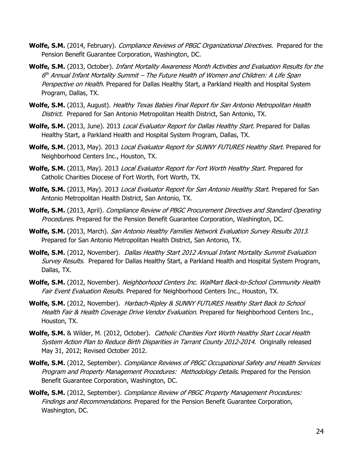- **Wolfe, S.M.** (2014, February). Compliance Reviews of PBGC Organizational Directives. Prepared for the Pension Benefit Guarantee Corporation, Washington, DC.
- **Wolfe, S.M.** (2013, October). Infant Mortality Awareness Month Activities and Evaluation Results for the 6 th Annual Infant Mortality Summit – The Future Health of Women and Children: A Life Span Perspective on Health. Prepared for Dallas Healthy Start, a Parkland Health and Hospital System Program, Dallas, TX.
- **Wolfe, S.M.** (2013, August). Healthy Texas Babies Final Report for San Antonio Metropolitan Health District. Prepared for San Antonio Metropolitan Health District, San Antonio, TX.
- Wolfe, S.M. (2013, June). 2013 Local Evaluator Report for Dallas Healthy Start. Prepared for Dallas Healthy Start, a Parkland Health and Hospital System Program, Dallas, TX.
- **Wolfe, S.M.** (2013, May). 2013 Local Evaluator Report for SUNNY FUTURES Healthy Start. Prepared for Neighborhood Centers Inc., Houston, TX.
- **Wolfe, S.M.** (2013, May). 2013 Local Evaluator Report for Fort Worth Healthy Start. Prepared for Catholic Charities Diocese of Fort Worth, Fort Worth, TX.
- **Wolfe, S.M.** (2013, May). 2013 Local Evaluator Report for San Antonio Healthy Start. Prepared for San Antonio Metropolitan Health District, San Antonio, TX.
- **Wolfe, S.M.** (2013, April). Compliance Review of PBGC Procurement Directives and Standard Operating Procedures. Prepared for the Pension Benefit Guarantee Corporation, Washington, DC.
- **Wolfe, S.M.** (2013, March). San Antonio Healthy Families Network Evaluation Survey Results 2013. Prepared for San Antonio Metropolitan Health District, San Antonio, TX.
- **Wolfe, S.M.** (2012, November). Dallas Healthy Start 2012 Annual Infant Mortality Summit Evaluation Survey Results. Prepared for Dallas Healthy Start, a Parkland Health and Hospital System Program, Dallas, TX.
- **Wolfe, S.M.** (2012, November). Neighborhood Centers Inc. WalMart Back-to-School Community Health Fair Event Evaluation Results. Prepared for Neighborhood Centers Inc., Houston, TX.
- **Wolfe, S.M.** (2012, November). Harbach-Ripley & SUNNY FUTURES Healthy Start Back to School Health Fair & Health Coverage Drive Vendor Evaluation. Prepared for Neighborhood Centers Inc., Houston, TX.
- **Wolfe, S.M.** & Wilder, M. (2012, October). Catholic Charities Fort Worth Healthy Start Local Health System Action Plan to Reduce Birth Disparities in Tarrant County 2012-2014. Originally released May 31, 2012; Revised October 2012.
- **Wolfe, S.M.** (2012, September). Compliance Reviews of PBGC Occupational Safety and Health Services Program and Property Management Procedures: Methodology Details. Prepared for the Pension Benefit Guarantee Corporation, Washington, DC.
- **Wolfe, S.M.** (2012, September). Compliance Review of PBGC Property Management Procedures: Findings and Recommendations. Prepared for the Pension Benefit Guarantee Corporation, Washington, DC.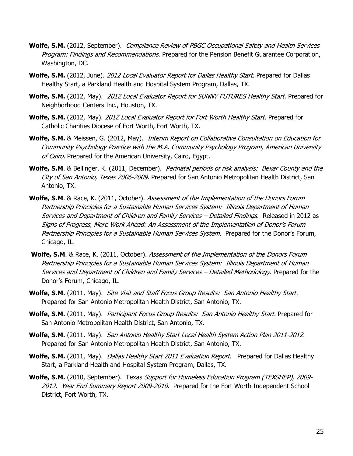- **Wolfe, S.M.** (2012, September). Compliance Review of PBGC Occupational Safety and Health Services Program: Findings and Recommendations. Prepared for the Pension Benefit Guarantee Corporation, Washington, DC.
- **Wolfe, S.M.** (2012, June). 2012 Local Evaluator Report for Dallas Healthy Start. Prepared for Dallas Healthy Start, a Parkland Health and Hospital System Program, Dallas, TX.
- **Wolfe, S.M.** (2012, May). 2012 Local Evaluator Report for SUNNY FUTURES Healthy Start. Prepared for Neighborhood Centers Inc., Houston, TX.
- **Wolfe, S.M.** (2012, May). 2012 Local Evaluator Report for Fort Worth Healthy Start. Prepared for Catholic Charities Diocese of Fort Worth, Fort Worth, TX.
- **Wolfe, S.M.** & Meissen, G. (2012, May). Interim Report on Collaborative Consultation on Education for Community Psychology Practice with the M.A. Community Psychology Program, American University of Cairo. Prepared for the American University, Cairo, Egypt.
- **Wolfe, S.M.** & Bellinger, K. (2011, December). *Perinatal periods of risk analysis: Bexar County and the* City of San Antonio, Texas 2006-2009. Prepared for San Antonio Metropolitan Health District, San Antonio, TX.
- **Wolfe, S.M**. & Race, K. (2011, October). Assessment of the Implementation of the Donors Forum Partnership Principles for a Sustainable Human Services System: Illinois Department of Human Services and Department of Children and Family Services – Detailed Findings. Released in 2012 as Signs of Progress, More Work Ahead: An Assessment of the Implementation of Donor's Forum Partnership Principles for a Sustainable Human Services System. Prepared for the Donor's Forum, Chicago, IL.
- **Wolfe, S.M**. & Race, K. (2011, October). Assessment of the Implementation of the Donors Forum Partnership Principles for a Sustainable Human Services System: Illinois Department of Human Services and Department of Children and Family Services - Detailed Methodology. Prepared for the Donor's Forum, Chicago, IL.
- **Wolfe, S.M.** (2011, May). Site Visit and Staff Focus Group Results: San Antonio Healthy Start. Prepared for San Antonio Metropolitan Health District, San Antonio, TX.
- **Wolfe, S.M.** (2011, May). Participant Focus Group Results: San Antonio Healthy Start. Prepared for San Antonio Metropolitan Health District, San Antonio, TX.
- **Wolfe, S.M.** (2011, May). San Antonio Healthy Start Local Health System Action Plan 2011-2012. Prepared for San Antonio Metropolitan Health District, San Antonio, TX.
- **Wolfe, S.M.** (2011, May). *Dallas Healthy Start 2011 Evaluation Report.* Prepared for Dallas Healthy Start, a Parkland Health and Hospital System Program, Dallas, TX.
- **Wolfe, S.M.** (2010, September). Texas Support for Homeless Education Program (TEXSHEP), 2009- 2012. Year End Summary Report 2009-2010. Prepared for the Fort Worth Independent School District, Fort Worth, TX.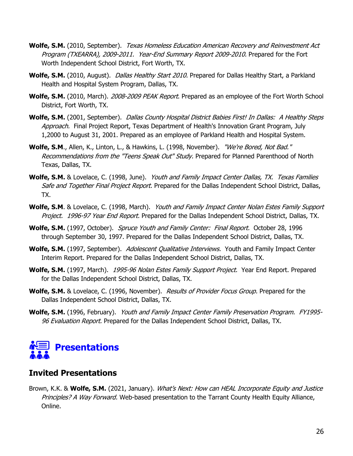- **Wolfe, S.M.** (2010, September). Texas Homeless Education American Recovery and Reinvestment Act Program (TXEARRA), 2009-2011. Year-End Summary Report 2009-2010. Prepared for the Fort Worth Independent School District, Fort Worth, TX.
- **Wolfe, S.M.** (2010, August). *Dallas Healthy Start 2010*. Prepared for Dallas Healthy Start, a Parkland Health and Hospital System Program, Dallas, TX.
- **Wolfe, S.M.** (2010, March). 2008-2009 PEAK Report. Prepared as an employee of the Fort Worth School District, Fort Worth, TX.
- **Wolfe, S.M.** (2001, September). Dallas County Hospital District Babies First! In Dallas: A Healthy Steps Approach. Final Project Report, Texas Department of Health's Innovation Grant Program, July 1,2000 to August 31, 2001. Prepared as an employee of Parkland Health and Hospital System.
- **Wolfe, S.M**., Allen, K., Linton, L., & Hawkins, L. (1998, November). "We're Bored, Not Bad." Recommendations from the "Teens Speak Out" Study. Prepared for Planned Parenthood of North Texas, Dallas, TX.
- Wolfe, S.M. & Lovelace, C. (1998, June). *Youth and Family Impact Center Dallas, TX. Texas Families* Safe and Together Final Project Report. Prepared for the Dallas Independent School District, Dallas, TX.
- **Wolfe, S.M.** & Lovelace, C. (1998, March). *Youth and Family Impact Center Nolan Estes Family Support* Project. 1996-97 Year End Report. Prepared for the Dallas Independent School District, Dallas, TX.
- Wolfe, S.M. (1997, October). Spruce Youth and Family Center: Final Report. October 28, 1996 through September 30, 1997. Prepared for the Dallas Independent School District, Dallas, TX.
- **Wolfe, S.M.** (1997, September). Adolescent Qualitative Interviews. Youth and Family Impact Center Interim Report. Prepared for the Dallas Independent School District, Dallas, TX.
- **Wolfe, S.M.** (1997, March). 1995-96 Nolan Estes Family Support Project. Year End Report. Prepared for the Dallas Independent School District, Dallas, TX.
- Wolfe, S.M. & Lovelace, C. (1996, November). Results of Provider Focus Group. Prepared for the Dallas Independent School District, Dallas, TX.
- **Wolfe, S.M.** (1996, February). Youth and Family Impact Center Family Preservation Program. FY1995- 96 Evaluation Report. Prepared for the Dallas Independent School District, Dallas, TX.



## **Invited Presentations**

Brown, K.K. & **Wolfe, S.M.** (2021, January). What's Next: How can HEAL Incorporate Equity and Justice Principles? A Way Forward. Web-based presentation to the Tarrant County Health Equity Alliance, Online.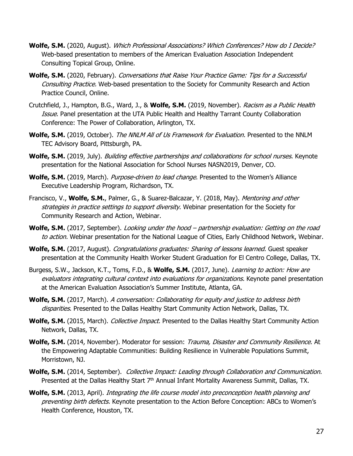- **Wolfe, S.M.** (2020, August). Which Professional Associations? Which Conferences? How do I Decide? Web-based presentation to members of the American Evaluation Association Independent Consulting Topical Group, Online.
- **Wolfe, S.M.** (2020, February). Conversations that Raise Your Practice Game: Tips for a Successful Consulting Practice. Web-based presentation to the Society for Community Research and Action Practice Council, Online.
- Crutchfield, J., Hampton, B.G., Ward, J., & **Wolfe, S.M.** (2019, November). Racism as a Public Health Issue. Panel presentation at the UTA Public Health and Healthy Tarrant County Collaboration Conference: The Power of Collaboration, Arlington, TX.
- **Wolfe, S.M.** (2019, October). The NNLM All of Us Framework for Evaluation. Presented to the NNLM TEC Advisory Board, Pittsburgh, PA.
- **Wolfe, S.M.** (2019, July). Building effective partnerships and collaborations for school nurses. Keynote presentation for the National Association for School Nurses NASN2019, Denver, CO.
- Wolfe, S.M. (2019, March). *Purpose-driven to lead change*. Presented to the Women's Alliance Executive Leadership Program, Richardson, TX.
- Francisco, V., **Wolfe, S.M.**, Palmer, G., & Suarez-Balcazar, Y. (2018, May). Mentoring and other strategies in practice settings to support diversity. Webinar presentation for the Society for Community Research and Action, Webinar.
- Wolfe, S.M. (2017, September). Looking under the hood partnership evaluation: Getting on the road to action. Webinar presentation for the National League of Cities, Early Childhood Network, Webinar.
- **Wolfe, S.M.** (2017, August). *Congratulations graduates: Sharing of lessons learned*. Guest speaker presentation at the Community Health Worker Student Graduation for El Centro College, Dallas, TX.
- Burgess, S.W., Jackson, K.T., Toms, F.D., & **Wolfe, S.M.** (2017, June). Learning to action: How are evaluators integrating cultural context into evaluations for organizations. Keynote panel presentation at the American Evaluation Association's Summer Institute, Atlanta, GA.
- **Wolfe, S.M.** (2017, March). A conversation: Collaborating for equity and justice to address birth disparities. Presented to the Dallas Healthy Start Community Action Network, Dallas, TX.
- **Wolfe, S.M.** (2015, March). *Collective Impact*. Presented to the Dallas Healthy Start Community Action Network, Dallas, TX.
- Wolfe, S.M. (2014, November). Moderator for session: Trauma, Disaster and Community Resilience. At the Empowering Adaptable Communities: Building Resilience in Vulnerable Populations Summit, Morristown, NJ.
- **Wolfe, S.M.** (2014, September). Collective Impact: Leading through Collaboration and Communication. Presented at the Dallas Healthy Start 7<sup>th</sup> Annual Infant Mortality Awareness Summit, Dallas, TX.
- **Wolfe, S.M.** (2013, April). Integrating the life course model into preconception health planning and preventing birth defects. Keynote presentation to the Action Before Conception: ABCs to Women's Health Conference, Houston, TX.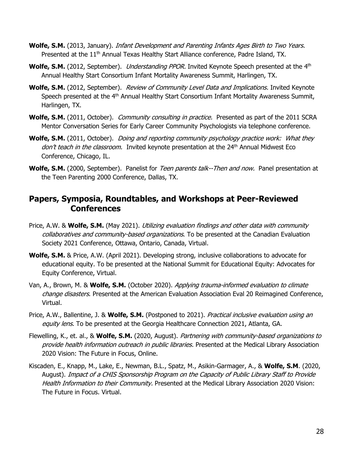- **Wolfe, S.M.** (2013, January). Infant Development and Parenting Infants Ages Birth to Two Years. Presented at the 11<sup>th</sup> Annual Texas Healthy Start Alliance conference, Padre Island, TX.
- **Wolfe, S.M.** (2012, September). *Understanding PPOR.* Invited Keynote Speech presented at the 4<sup>th</sup> Annual Healthy Start Consortium Infant Mortality Awareness Summit, Harlingen, TX.
- **Wolfe, S.M.** (2012, September). Review of Community Level Data and Implications. Invited Keynote Speech presented at the 4<sup>th</sup> Annual Healthy Start Consortium Infant Mortality Awareness Summit, Harlingen, TX.
- **Wolfe, S.M.** (2011, October). *Community consulting in practice.* Presented as part of the 2011 SCRA Mentor Conversation Series for Early Career Community Psychologists via telephone conference.
- **Wolfe, S.M.** (2011, October). *Doing and reporting community psychology practice work: What they* don't teach in the classroom. Invited keynote presentation at the 24<sup>th</sup> Annual Midwest Eco Conference, Chicago, IL.
- **Wolfe, S.M.** (2000, September). Panelist for *Teen parents talk--Then and now.* Panel presentation at the Teen Parenting 2000 Conference, Dallas, TX.

## **Papers, Symposia, Roundtables, and Workshops at Peer-Reviewed Conferences**

- Price, A.W. & **Wolfe, S.M.** (May 2021). Utilizing evaluation findings and other data with community collaboratives and community-based organizations. To be presented at the Canadian Evaluation Society 2021 Conference, Ottawa, Ontario, Canada, Virtual.
- **Wolfe, S.M.** & Price, A.W. (April 2021). Developing strong, inclusive collaborations to advocate for educational equity. To be presented at the National Summit for Educational Equity: Advocates for Equity Conference, Virtual.
- Van, A., Brown, M. & **Wolfe, S.M.** (October 2020). Applying trauma-informed evaluation to climate change disasters. Presented at the American Evaluation Association Eval 20 Reimagined Conference, Virtual.
- Price, A.W., Ballentine, J. & **Wolfe, S.M.** (Postponed to 2021). Practical inclusive evaluation using an equity lens. To be presented at the Georgia Healthcare Connection 2021, Atlanta, GA.
- Flewelling, K., et. al., & **Wolfe, S.M.** (2020, August). Partnering with community-based organizations to provide health information outreach in public libraries. Presented at the Medical Library Association 2020 Vision: The Future in Focus, Online.
- Kiscaden, E., Knapp, M., Lake, E., Newman, B.L., Spatz, M., Asikin-Garmager, A., & **Wolfe, S.M**. (2020, August). Impact of a CHIS Sponsorship Program on the Capacity of Public Library Staff to Provide Health Information to their Community. Presented at the Medical Library Association 2020 Vision: The Future in Focus. Virtual.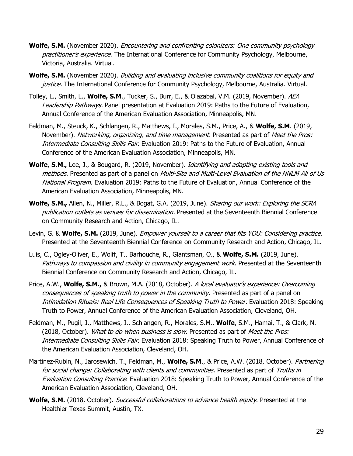- **Wolfe, S.M.** (November 2020). Encountering and confronting colonizers: One community psychology practitioner's experience. The International Conference for Community Psychology, Melbourne, Victoria, Australia. Virtual.
- **Wolfe, S.M.** (November 2020). Building and evaluating inclusive community coalitions for equity and justice. The International Conference for Community Psychology, Melbourne, Australia. Virtual.
- Tolley, L., Smith, L., **Wolfe, S.M**., Tucker, S., Burr, E., & Olazabal, V.M. (2019, November). AEA Leadership Pathways. Panel presentation at Evaluation 2019: Paths to the Future of Evaluation, Annual Conference of the American Evaluation Association, Minneapolis, MN.
- Feldman, M., Steuck, K., Schlangen, R., Matthews, I., Morales, S.M., Price, A., & **Wolfe, S.M**. (2019, November). Networking, organizing, and time management. Presented as part of Meet the Pros: Intermediate Consulting Skills Fair. Evaluation 2019: Paths to the Future of Evaluation, Annual Conference of the American Evaluation Association, Minneapolis, MN.
- **Wolfe, S.M.,** Lee, J., & Bougard, R. (2019, November). Identifying and adapting existing tools and methods. Presented as part of a panel on *Multi-Site and Multi-Level Evaluation of the NNLM All of Us* National Program. Evaluation 2019: Paths to the Future of Evaluation, Annual Conference of the American Evaluation Association, Minneapolis, MN.
- **Wolfe, S.M.,** Allen, N., Miller, R.L., & Bogat, G.A. (2019, June). Sharing our work: Exploring the SCRA publication outlets as venues for dissemination. Presented at the Seventeenth Biennial Conference on Community Research and Action, Chicago, IL.
- Levin, G. & **Wolfe, S.M.** (2019, June). *Empower yourself to a career that fits YOU: Considering practice.* Presented at the Seventeenth Biennial Conference on Community Research and Action, Chicago, IL.
- Luis, C., Ogley-Oliver, E., Wolff, T., Barhouche, R., Glantsman, O., & **Wolfe, S.M.** (2019, June). Pathways to compassion and civility in community engagement work. Presented at the Seventeenth Biennial Conference on Community Research and Action, Chicago, IL.
- Price, A.W., Wolfe, S.M., & Brown, M.A. (2018, October). A local evaluator's experience: Overcoming consequences of speaking truth to power in the community. Presented as part of a panel on Intimidation Rituals: Real Life Consequences of Speaking Truth to Power. Evaluation 2018: Speaking Truth to Power, Annual Conference of the American Evaluation Association, Cleveland, OH.
- Feldman, M., Pugil, J., Matthews, I., Schlangen, R., Morales, S.M., **Wolfe**, S.M., Hamai, T., & Clark, N. (2018, October). What to do when business is slow. Presented as part of Meet the Pros: Intermediate Consulting Skills Fair. Evaluation 2018: Speaking Truth to Power, Annual Conference of the American Evaluation Association, Cleveland, OH.
- Martinez-Rubin, N., Jarosewich, T., Feldman, M., **Wolfe, S.M**., & Price, A.W. (2018, October). Partnering for social change: Collaborating with clients and communities. Presented as part of Truths in Evaluation Consulting Practice. Evaluation 2018: Speaking Truth to Power, Annual Conference of the American Evaluation Association, Cleveland, OH.
- **Wolfe, S.M.** (2018, October). *Successful collaborations to advance health equity*. Presented at the Healthier Texas Summit, Austin, TX.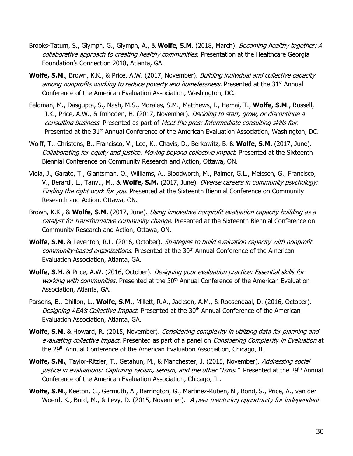- Brooks-Tatum, S., Glymph, G., Glymph, A., & **Wolfe, S.M.** (2018, March). Becoming healthy together: A collaborative approach to creating healthy communities. Presentation at the Healthcare Georgia Foundation's Connection 2018, Atlanta, GA.
- Wolfe, S.M., Brown, K.K., & Price, A.W. (2017, November). Building individual and collective capacity among nonprofits working to reduce poverty and homelessness. Presented at the 31<sup>st</sup> Annual Conference of the American Evaluation Association, Washington, DC.
- Feldman, M., Dasgupta, S., Nash, M.S., Morales, S.M., Matthews, I., Hamai, T., **Wolfe, S.M**., Russell, J.K., Price, A.W., & Imboden, H. (2017, November). *Deciding to start, grow, or discontinue a* consulting business. Presented as part of Meet the pros: Intermediate consulting skills fair. Presented at the 31<sup>st</sup> Annual Conference of the American Evaluation Association, Washington, DC.
- Wolff, T., Christens, B., Francisco, V., Lee, K., Chavis, D., Berkowitz, B. & **Wolfe, S.M.** (2017, June). Collaborating for equity and justice: Moving beyond collective impact. Presented at the Sixteenth Biennial Conference on Community Research and Action, Ottawa, ON.
- Viola, J., Garate, T., Glantsman, O., Williams, A., Bloodworth, M., Palmer, G.L., Meissen, G., Francisco, V., Berardi, L., Tanyu, M., & **Wolfe, S.M.** (2017, June). Diverse careers in community psychology: Finding the right work for you. Presented at the Sixteenth Biennial Conference on Community Research and Action, Ottawa, ON.
- Brown, K.K., & **Wolfe, S.M.** (2017, June). Using innovative nonprofit evaluation capacity building as a catalyst for transformative community change. Presented at the Sixteenth Biennial Conference on Community Research and Action, Ottawa, ON.
- Wolfe, S.M. & Leventon, R.L. (2016, October). Strategies to build evaluation capacity with nonprofit community-based organizations. Presented at the 30<sup>th</sup> Annual Conference of the American Evaluation Association, Atlanta, GA.
- **Wolfe, S.**M. & Price, A.W. (2016, October). Designing your evaluation practice: Essential skills for working with communities. Presented at the 30<sup>th</sup> Annual Conference of the American Evaluation Association, Atlanta, GA.
- Parsons, B., Dhillon, L., **Wolfe, S.M**., Millett, R.A., Jackson, A.M., & Roosendaal, D. (2016, October). Designing AEA's Collective Impact. Presented at the 30<sup>th</sup> Annual Conference of the American Evaluation Association, Atlanta, GA.
- **Wolfe, S.M.** & Howard, R. (2015, November). *Considering complexity in utilizing data for planning and* evaluating collective impact. Presented as part of a panel on *Considering Complexity in Evaluation* at the 29th Annual Conference of the American Evaluation Association, Chicago, IL.
- **Wolfe, S.M.**, Taylor-Ritzler, T., Getahun, M., & Manchester, J. (2015, November). Addressing social justice in evaluations: Capturing racism, sexism, and the other "Isms." Presented at the 29<sup>th</sup> Annual Conference of the American Evaluation Association, Chicago, IL.
- **Wolfe, S.M**., Keeton, C., Germuth, A., Barrington, G., Martinez-Ruben, N., Bond, S., Price, A., van der Woerd, K., Burd, M., & Levy, D. (2015, November). A peer mentoring opportunity for independent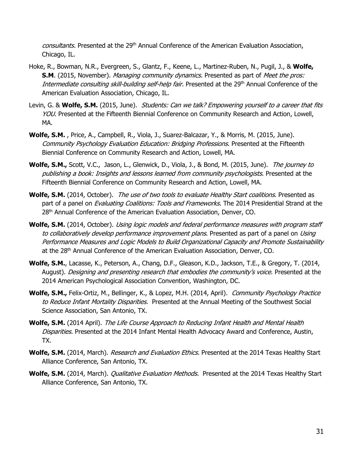consultants. Presented at the 29<sup>th</sup> Annual Conference of the American Evaluation Association, Chicago, IL.

- Hoke, R., Bowman, N.R., Evergreen, S., Glantz, F., Keene, L., Martinez-Ruben, N., Pugil, J., & **Wolfe, S.M.** (2015, November). *Managing community dynamics.* Presented as part of *Meet the pros:* Intermediate consulting skill-building self-help fair. Presented at the 29<sup>th</sup> Annual Conference of the American Evaluation Association, Chicago, IL.
- Levin, G. & **Wolfe, S.M.** (2015, June). *Students: Can we talk? Empowering yourself to a career that fits* YOU. Presented at the Fifteenth Biennial Conference on Community Research and Action, Lowell, MA.
- **Wolfe, S.M.** , Price, A., Campbell, R., Viola, J., Suarez-Balcazar, Y., & Morris, M. (2015, June). Community Psychology Evaluation Education: Bridging Professions. Presented at the Fifteenth Biennial Conference on Community Research and Action, Lowell, MA.
- **Wolfe, S.M.,** Scott, V.C., Jason, L., Glenwick, D., Viola, J., & Bond, M. (2015, June). The journey to publishing a book: Insights and lessons learned from community psychologists. Presented at the Fifteenth Biennial Conference on Community Research and Action, Lowell, MA.
- Wolfe, S.M. (2014, October). The use of two tools to evaluate Healthy Start coalitions. Presented as part of a panel on *Evaluating Coalitions: Tools and Frameworks*. The 2014 Presidential Strand at the 28<sup>th</sup> Annual Conference of the American Evaluation Association, Denver, CO.
- Wolfe, S.M. (2014, October). Using logic models and federal performance measures with program staff to collaboratively develop performance improvement plans. Presented as part of a panel on Using Performance Measures and Logic Models to Build Organizational Capacity and Promote Sustainability at the 28<sup>th</sup> Annual Conference of the American Evaluation Association, Denver, CO.
- **Wolfe, S.M.**, Lacasse, K., Peterson, A., Chang, D.F., Gleason, K.D., Jackson, T.E., & Gregory, T. (2014, August). Designing and presenting research that embodies the community's voice. Presented at the 2014 American Psychological Association Convention, Washington, DC.
- **Wolfe, S.M.,** Felix-Ortiz, M., Bellinger, K., & Lopez, M.H. (2014, April). Community Psychology Practice to Reduce Infant Mortality Disparities. Presented at the Annual Meeting of the Southwest Social Science Association, San Antonio, TX.
- **Wolfe, S.M.** (2014 April). The Life Course Approach to Reducing Infant Health and Mental Health Disparities. Presented at the 2014 Infant Mental Health Advocacy Award and Conference, Austin, TX.
- **Wolfe, S.M.** (2014, March). *Research and Evaluation Ethics.* Presented at the 2014 Texas Healthy Start Alliance Conference, San Antonio, TX.
- **Wolfe, S.M.** (2014, March). *Qualitative Evaluation Methods.* Presented at the 2014 Texas Healthy Start Alliance Conference, San Antonio, TX.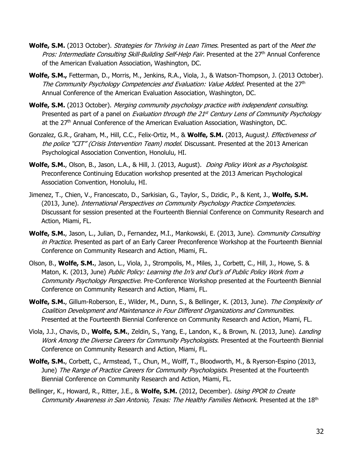- **Wolfe, S.M.** (2013 October). *Strategies for Thriving in Lean Times*. Presented as part of the *Meet the* Pros: Intermediate Consulting Skill-Building Self-Help Fair. Presented at the 27<sup>th</sup> Annual Conference of the American Evaluation Association, Washington, DC.
- **Wolfe, S.M.,** Fetterman, D., Morris, M., Jenkins, R.A., Viola, J., & Watson-Thompson, J. (2013 October). The Community Psychology Competencies and Evaluation: Value Added. Presented at the 27<sup>th</sup> Annual Conference of the American Evaluation Association, Washington, DC.
- **Wolfe, S.M.** (2013 October). Merging community psychology practice with independent consulting. Presented as part of a panel on *Evaluation through the 21<sup>st</sup> Century Lens of Community Psychology* at the 27<sup>th</sup> Annual Conference of the American Evaluation Association, Washington, DC.
- Gonzalez, G.R., Graham, M., Hill, C.C., Felix-Ortiz, M., & **Wolfe, S.M.** (2013, August). Effectiveness of the police "CIT" (Crisis Intervention Team) model. Discussant. Presented at the 2013 American Psychological Association Convention, Honolulu, HI.
- **Wolfe, S.M.**, Olson, B., Jason, L.A., & Hill, J. (2013, August). Doing Policy Work as a Psychologist. Preconference Continuing Education workshop presented at the 2013 American Psychological Association Convention, Honolulu, HI.
- Jimenez, T., Chien, V., Francescato, D., Sarkisian, G., Taylor, S., Dzidic, P., & Kent, J., **Wolfe, S.M.** (2013, June). International Perspectives on Community Psychology Practice Competencies. Discussant for session presented at the Fourteenth Biennial Conference on Community Research and Action, Miami, FL.
- **Wolfe, S.M.**, Jason, L., Julian, D., Fernandez, M.I., Mankowski, E. (2013, June). Community Consulting in Practice. Presented as part of an Early Career Preconference Workshop at the Fourteenth Biennial Conference on Community Research and Action, Miami, FL.
- Olson, B., **Wolfe, S.M.**, Jason, L., Viola, J., Strompolis, M., Miles, J., Corbett, C., Hill, J., Howe, S. & Maton, K. (2013, June) Public Policy: Learning the In's and Out's of Public Policy Work from a Community Psychology Perspective. Pre-Conference Workshop presented at the Fourteenth Biennial Conference on Community Research and Action, Miami, FL.
- Wolfe, S.M., Gillum-Roberson, E., Wilder, M., Dunn, S., & Bellinger, K. (2013, June). The Complexity of Coalition Development and Maintenance in Four Different Organizations and Communities. Presented at the Fourteenth Biennial Conference on Community Research and Action, Miami, FL.
- Viola, J.J., Chavis, D., **Wolfe, S.M.**, Zeldin, S., Yang, E., Landon, K., & Brown, N. (2013, June). Landing Work Among the Diverse Careers for Community Psychologists. Presented at the Fourteenth Biennial Conference on Community Research and Action, Miami, FL.
- **Wolfe, S.M.**, Corbett, C., Armstead, T., Chun, M., Wolff, T., Bloodworth, M., & Ryerson-Espino (2013, June) The Range of Practice Careers for Community Psychologists. Presented at the Fourteenth Biennial Conference on Community Research and Action, Miami, FL.
- Bellinger, K., Howard, R., Ritter, J.E., & **Wolfe, S.M.** (2012, December). Using PPOR to Create Community Awareness in San Antonio, Texas: The Healthy Families Network. Presented at the 18th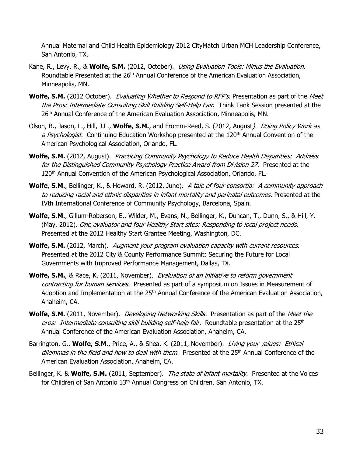Annual Maternal and Child Health Epidemiology 2012 CityMatch Urban MCH Leadership Conference, San Antonio, TX.

- Kane, R., Levy, R., & **Wolfe, S.M.** (2012, October). Using Evaluation Tools: Minus the Evaluation. Roundtable Presented at the 26<sup>th</sup> Annual Conference of the American Evaluation Association, Minneapolis, MN.
- **Wolfe, S.M.** (2012 October). *Evaluating Whether to Respond to RFP's*. Presentation as part of the *Meet* the Pros: Intermediate Consulting Skill Building Self-Help Fair. Think Tank Session presented at the 26<sup>th</sup> Annual Conference of the American Evaluation Association, Minneapolis, MN.
- Olson, B., Jason, L., Hill, J.L., **Wolfe, S.M.**, and Fromm-Reed, S. (2012, August). Doing Policy Work as a Psychologist. Continuing Education Workshop presented at the 120<sup>th</sup> Annual Convention of the American Psychological Association, Orlando, FL.
- **Wolfe, S.M.** (2012, August). Practicing Community Psychology to Reduce Health Disparities: Address for the Distinguished Community Psychology Practice Award from Division 27. Presented at the 120th Annual Convention of the American Psychological Association, Orlando, FL.
- **Wolfe, S.M.**, Bellinger, K., & Howard, R. (2012, June). A tale of four consortia: A community approach to reducing racial and ethnic disparities in infant mortality and perinatal outcomes. Presented at the IVth International Conference of Community Psychology, Barcelona, Spain.
- **Wolfe, S.M.**, Gillum-Roberson, E., Wilder, M., Evans, N., Bellinger, K., Duncan, T., Dunn, S., & Hill, Y. (May, 2012). One evaluator and four Healthy Start sites: Responding to local project needs. Presented at the 2012 Healthy Start Grantee Meeting, Washington, DC.
- **Wolfe, S.M.** (2012, March). Augment your program evaluation capacity with current resources. Presented at the 2012 City & County Performance Summit: Securing the Future for Local Governments with Improved Performance Management, Dallas, TX.
- **Wolfe, S.M.**, & Race, K. (2011, November). Evaluation of an initiative to reform government contracting for human services. Presented as part of a symposium on Issues in Measurement of Adoption and Implementation at the 25<sup>th</sup> Annual Conference of the American Evaluation Association, Anaheim, CA.
- **Wolfe, S.M.** (2011, November). *Developing Networking Skills.* Presentation as part of the *Meet the* pros: Intermediate consulting skill building self-help fair. Roundtable presentation at the 25<sup>th</sup> Annual Conference of the American Evaluation Association, Anaheim, CA.
- Barrington, G., **Wolfe, S.M.**, Price, A., & Shea, K. (2011, November). Living your values: Ethical dilemmas in the field and how to deal with them. Presented at the 25<sup>th</sup> Annual Conference of the American Evaluation Association, Anaheim, CA.
- Bellinger, K. & **Wolfe, S.M.** (2011, September). The state of infant mortality. Presented at the Voices for Children of San Antonio 13<sup>th</sup> Annual Congress on Children, San Antonio, TX.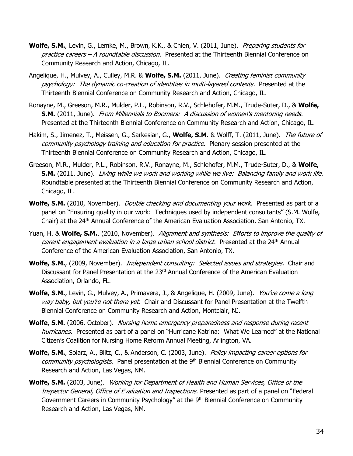- Wolfe, S.M., Levin, G., Lemke, M., Brown, K.K., & Chien, V. (2011, June). Preparing students for practice careers – A roundtable discussion. Presented at the Thirteenth Biennial Conference on Community Research and Action, Chicago, IL.
- Angelique, H., Mulvey, A., Culley, M.R. & **Wolfe, S.M.** (2011, June). Creating feminist community psychology: The dynamic co-creation of identities in multi-layered contexts. Presented at the Thirteenth Biennial Conference on Community Research and Action, Chicago, IL.
- Ronayne, M., Greeson, M.R., Mulder, P.L., Robinson, R.V., Schlehofer, M.M., Trude-Suter, D., & **Wolfe, S.M.** (2011, June). From Millennials to Boomers: A discussion of women's mentoring needs. Presented at the Thirteenth Biennial Conference on Community Research and Action, Chicago, IL.
- Hakim, S., Jimenez, T., Meissen, G., Sarkesian, G., **Wolfe, S.M.** & Wolff, T. (2011, June). The future of community psychology training and education for practice. Plenary session presented at the Thirteenth Biennial Conference on Community Research and Action, Chicago, IL.
- Greeson, M.R., Mulder, P.L., Robinson, R.V., Ronayne, M., Schlehofer, M.M., Trude-Suter, D., & **Wolfe, S.M.** (2011, June). Living while we work and working while we live: Balancing family and work life. Roundtable presented at the Thirteenth Biennial Conference on Community Research and Action, Chicago, IL.
- **Wolfe, S.M.** (2010, November). *Double checking and documenting your work.* Presented as part of a panel on "Ensuring quality in our work: Techniques used by independent consultants" (S.M. Wolfe, Chair) at the 24<sup>th</sup> Annual Conference of the American Evaluation Association, San Antonio, TX.
- Yuan, H. & **Wolfe, S.M.**, (2010, November). Alignment and synthesis: Efforts to improve the quality of parent engagement evaluation in a large urban school district. Presented at the 24<sup>th</sup> Annual Conference of the American Evaluation Association, San Antonio, TX.
- **Wolfe, S.M.**, (2009, November). Independent consulting: Selected issues and strategies. Chair and Discussant for Panel Presentation at the 23rd Annual Conference of the American Evaluation Association, Orlando, FL.
- **Wolfe, S.M.**, Levin, G., Mulvey, A., Primavera, J., & Angelique, H. (2009, June). *You've come a long* way baby, but you're not there yet. Chair and Discussant for Panel Presentation at the Twelfth Biennial Conference on Community Research and Action, Montclair, NJ.
- Wolfe, S.M. (2006, October). Nursing home emergency preparedness and response during recent hurricanes. Presented as part of a panel on "Hurricane Katrina: What We Learned" at the National Citizen's Coalition for Nursing Home Reform Annual Meeting, Arlington, VA.
- **Wolfe, S.M.**, Solarz, A., Blitz, C., & Anderson, C. (2003, June). Policy impacting career options for community psychologists. Panel presentation at the 9<sup>th</sup> Biennial Conference on Community Research and Action, Las Vegas, NM.
- **Wolfe, S.M.** (2003, June). Working for Department of Health and Human Services, Office of the Inspector General, Office of Evaluation and Inspections. Presented as part of a panel on "Federal Government Careers in Community Psychology" at the 9<sup>th</sup> Biennial Conference on Community Research and Action, Las Vegas, NM.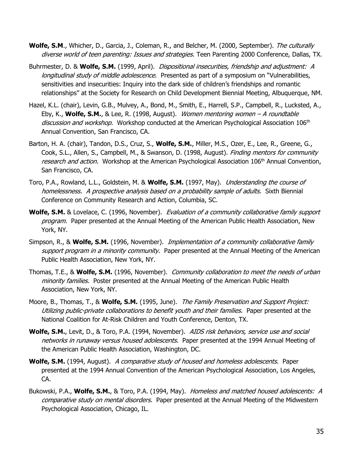- **Wolfe, S.M**., Whicher, D., Garcia, J., Coleman, R., and Belcher, M. (2000, September). The culturally diverse world of teen parenting: Issues and strategies. Teen Parenting 2000 Conference, Dallas, TX.
- Buhrmester, D. & **Wolfe, S.M.** (1999, April). Dispositional insecurities, friendship and adjustment: A longitudinal study of middle adolescence. Presented as part of a symposium on "Vulnerabilities, sensitivities and insecurities: Inquiry into the dark side of children's friendships and romantic relationships" at the Society for Research on Child Development Biennial Meeting, Albuquerque, NM.
- Hazel, K.L. (chair), Levin, G.B., Mulvey, A., Bond, M., Smith, E., Harrell, S.P., Campbell, R., Lucksted, A., Eby, K., **Wolfe, S.M.**, & Lee, R. (1998, August). Women mentoring women – A roundtable discussion and workshop. Workshop conducted at the American Psychological Association 106<sup>th</sup> Annual Convention, San Francisco, CA.
- Barton, H. A. (chair), Tandon, D.S., Cruz, S., **Wolfe, S.M.**, Miller, M.S., Ozer, E., Lee, R., Greene, G., Cook, S.L., Allen, S., Campbell, M., & Swanson, D. (1998, August). Finding mentors for community research and action. Workshop at the American Psychological Association 106<sup>th</sup> Annual Convention, San Francisco, CA.
- Toro, P.A., Rowland, L.L., Goldstein, M. & **Wolfe, S.M.** (1997, May). Understanding the course of homelessness. A prospective analysis based on a probability sample of adults. Sixth Biennial Conference on Community Research and Action, Columbia, SC.
- **Wolfe, S.M.** & Lovelace, C. (1996, November). *Evaluation of a community collaborative family support* program. Paper presented at the Annual Meeting of the American Public Health Association, New York, NY.
- Simpson, R., & **Wolfe, S.M.** (1996, November). Implementation of a community collaborative family support program in a minority community. Paper presented at the Annual Meeting of the American Public Health Association, New York, NY.
- Thomas, T.E., & **Wolfe, S.M.** (1996, November). Community collaboration to meet the needs of urban minority families. Poster presented at the Annual Meeting of the American Public Health Association, New York, NY.
- Moore, B., Thomas, T., & **Wolfe, S.M.** (1995, June). The Family Preservation and Support Project: Utilizing public-private collaborations to benefit youth and their families. Paper presented at the National Coalition for At-Risk Children and Youth Conference, Denton, TX.
- **Wolfe, S.M.**, Levit, D., & Toro, P.A. (1994, November). AIDS risk behaviors, service use and social networks in runaway versus housed adolescents. Paper presented at the 1994 Annual Meeting of the American Public Health Association, Washington, DC.
- **Wolfe, S.M.** (1994, August). A comparative study of housed and homeless adolescents. Paper presented at the 1994 Annual Convention of the American Psychological Association, Los Angeles, CA.
- Bukowski, P.A., **Wolfe, S.M.**, & Toro, P.A. (1994, May). Homeless and matched housed adolescents: A comparative study on mental disorders. Paper presented at the Annual Meeting of the Midwestern Psychological Association, Chicago, IL.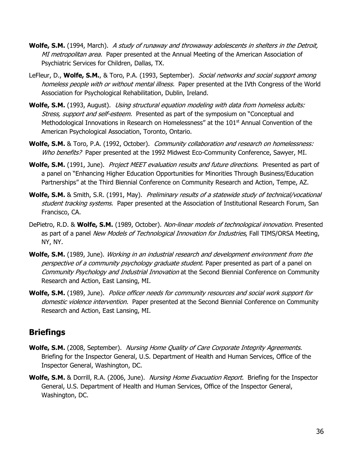- **Wolfe, S.M.** (1994, March). A study of runaway and throwaway adolescents in shelters in the Detroit, MI metropolitan area. Paper presented at the Annual Meeting of the American Association of Psychiatric Services for Children, Dallas, TX.
- LeFleur, D., **Wolfe, S.M.**, & Toro, P.A. (1993, September). Social networks and social support among homeless people with or without mental illness. Paper presented at the IVth Congress of the World Association for Psychological Rehabilitation, Dublin, Ireland.
- **Wolfe, S.M.** (1993, August). *Using structural equation modeling with data from homeless adults:* Stress, support and self-esteem. Presented as part of the symposium on "Conceptual and Methodological Innovations in Research on Homelessness" at the  $101<sup>st</sup>$  Annual Convention of the American Psychological Association, Toronto, Ontario.
- **Wolfe, S.M.** & Toro, P.A. (1992, October). *Community collaboration and research on homelessness:* Who benefits? Paper presented at the 1992 Midwest Eco-Community Conference, Sawyer, MI.
- Wolfe, S.M. (1991, June). *Project MEET evaluation results and future directions.* Presented as part of a panel on "Enhancing Higher Education Opportunities for Minorities Through Business/Education Partnerships" at the Third Biennial Conference on Community Research and Action, Tempe, AZ.
- Wolfe, S.M. & Smith, S.R. (1991, May). Preliminary results of a statewide study of technical/vocational student tracking systems. Paper presented at the Association of Institutional Research Forum, San Francisco, CA.
- DePietro, R.D. & **Wolfe, S.M.** (1989, October). Non-linear models of technological innovation. Presented as part of a panel New Models of Technological Innovation for Industries, Fall TIMS/ORSA Meeting, NY, NY.
- **Wolfe, S.M.** (1989, June). Working in an industrial research and development environment from the perspective of a community psychology graduate student. Paper presented as part of a panel on Community Psychology and Industrial Innovation at the Second Biennial Conference on Community Research and Action, East Lansing, MI.
- **Wolfe, S.M.** (1989, June). Police officer needs for community resources and social work support for domestic violence intervention. Paper presented at the Second Biennial Conference on Community Research and Action, East Lansing, MI.

## **Briefings**

- **Wolfe, S.M.** (2008, September). Nursing Home Quality of Care Corporate Integrity Agreements. Briefing for the Inspector General, U.S. Department of Health and Human Services, Office of the Inspector General, Washington, DC.
- **Wolfe, S.M.** & Dorrill, R.A. (2006, June). *Nursing Home Evacuation Report.* Briefing for the Inspector General, U.S. Department of Health and Human Services, Office of the Inspector General, Washington, DC.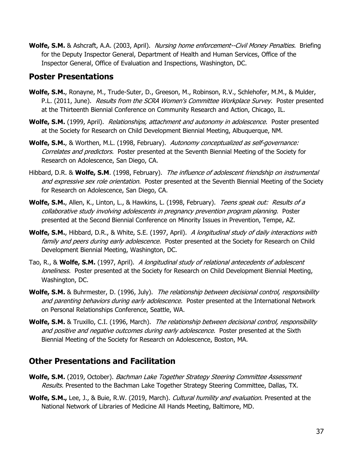**Wolfe, S.M.** & Ashcraft, A.A. (2003, April). Nursing home enforcement--Civil Money Penalties. Briefing for the Deputy Inspector General, Department of Health and Human Services, Office of the Inspector General, Office of Evaluation and Inspections, Washington, DC.

## **Poster Presentations**

- **Wolfe, S.M.**, Ronayne, M., Trude-Suter, D., Greeson, M., Robinson, R.V., Schlehofer, M.M., & Mulder, P.L. (2011, June). Results from the SCRA Women's Committee Workplace Survey. Poster presented at the Thirteenth Biennial Conference on Community Research and Action, Chicago, IL.
- **Wolfe, S.M.** (1999, April). *Relationships, attachment and autonomy in adolescence.* Poster presented at the Society for Research on Child Development Biennial Meeting, Albuquerque, NM.
- **Wolfe, S.M.**, & Worthen, M.L. (1998, February). Autonomy conceptualized as self-governance: Correlates and predictors. Poster presented at the Seventh Biennial Meeting of the Society for Research on Adolescence, San Diego, CA.
- Hibbard, D.R. & **Wolfe, S.M**. (1998, February). The influence of adolescent friendship on instrumental and expressive sex role orientation. Poster presented at the Seventh Biennial Meeting of the Society for Research on Adolescence, San Diego, CA.
- Wolfe, S.M., Allen, K., Linton, L., & Hawkins, L. (1998, February). Teens speak out: Results of a collaborative study involving adolescents in pregnancy prevention program planning. Poster presented at the Second Biennial Conference on Minority Issues in Prevention, Tempe, AZ.
- Wolfe, S.M., Hibbard, D.R., & White, S.E. (1997, April). A longitudinal study of daily interactions with family and peers during early adolescence. Poster presented at the Society for Research on Child Development Biennial Meeting, Washington, DC.
- Tao, R., & **Wolfe, S.M.** (1997, April). A longitudinal study of relational antecedents of adolescent loneliness. Poster presented at the Society for Research on Child Development Biennial Meeting, Washington, DC.
- Wolfe, S.M. & Buhrmester, D. (1996, July). The relationship between decisional control, responsibility and parenting behaviors during early adolescence. Poster presented at the International Network on Personal Relationships Conference, Seattle, WA.
- **Wolfe, S.M.** & Truxillo, C.I. (1996, March). The relationship between decisional control, responsibility and positive and negative outcomes during early adolescence. Poster presented at the Sixth Biennial Meeting of the Society for Research on Adolescence, Boston, MA.

## **Other Presentations and Facilitation**

- Wolfe, S.M. (2019, October). Bachman Lake Together Strategy Steering Committee Assessment Results. Presented to the Bachman Lake Together Strategy Steering Committee, Dallas, TX.
- **Wolfe, S.M.,** Lee, J., & Buie, R.W. (2019, March). Cultural humility and evaluation. Presented at the National Network of Libraries of Medicine All Hands Meeting, Baltimore, MD.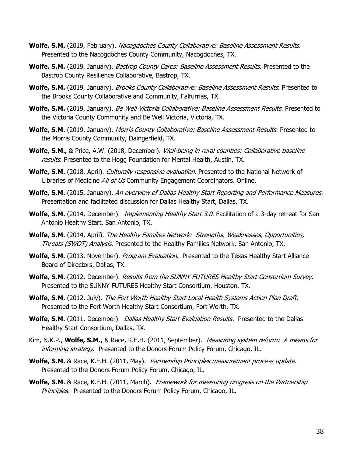- Wolfe, S.M. (2019, February). Nacogdoches County Collaborative: Baseline Assessment Results. Presented to the Nacogdoches County Community, Nacogdoches, TX.
- Wolfe, S.M. (2019, January). *Bastrop County Cares: Baseline Assessment Results*. Presented to the Bastrop County Resilience Collaborative, Bastrop, TX.
- Wolfe, S.M. (2019, January). Brooks County Collaborative: Baseline Assessment Results. Presented to the Brooks County Collaborative and Community, Falfurrias, TX.
- Wolfe, S.M. (2019, January). *Be Well Victoria Collaborative: Baseline Assessment Results*. Presented to the Victoria County Community and Be Well Victoria, Victoria, TX.
- Wolfe, S.M. (2019, January). Morris County Collaborative: Baseline Assessment Results. Presented to the Morris County Community, Daingerfield, TX.
- **Wolfe, S.M., &** Price, A.W. (2018, December). *Well-being in rural counties: Collaborative baseline* results. Presented to the Hogg Foundation for Mental Health, Austin, TX.
- **Wolfe, S.M.** (2018, April). *Culturally responsive evaluation*. Presented to the National Network of Libraries of Medicine All of Us Community Engagement Coordinators. Online.
- Wolfe, S.M. (2015, January). An overview of Dallas Healthy Start Reporting and Performance Measures. Presentation and facilitated discussion for Dallas Healthy Start, Dallas, TX.
- **Wolfe, S.M.** (2014, December). *Implementing Healthy Start 3.0*. Facilitation of a 3-day retreat for San Antonio Healthy Start, San Antonio, TX.
- **Wolfe, S.M.** (2014, April). The Healthy Families Network: Strengths, Weaknesses, Opportunities, Threats (SWOT) Analysis. Presented to the Healthy Families Network, San Antonio, TX.
- **Wolfe, S.M.** (2013, November). *Program Evaluation*. Presented to the Texas Healthy Start Alliance Board of Directors, Dallas, TX.
- **Wolfe, S.M.** (2012, December). Results from the SUNNY FUTURES Healthy Start Consortium Survey. Presented to the SUNNY FUTURES Healthy Start Consortium, Houston, TX.
- **Wolfe, S.M.** (2012, July). The Fort Worth Healthy Start Local Health Systems Action Plan Draft. Presented to the Fort Worth Healthy Start Consortium, Fort Worth, TX.
- **Wolfe, S.M.** (2011, December). *Dallas Healthy Start Evaluation Results.* Presented to the Dallas Healthy Start Consortium, Dallas, TX.
- Kim, N.K.P., **Wolfe, S.M.**, & Race, K.E.H. (2011, September). Measuring system reform: A means for informing strategy. Presented to the Donors Forum Policy Forum, Chicago, IL.
- **Wolfe, S.M.** & Race, K.E.H. (2011, May). *Partnership Principles measurement process update.* Presented to the Donors Forum Policy Forum, Chicago, IL.
- Wolfe, S.M. & Race, K.E.H. (2011, March). Framework for measuring progress on the Partnership Principles. Presented to the Donors Forum Policy Forum, Chicago, IL.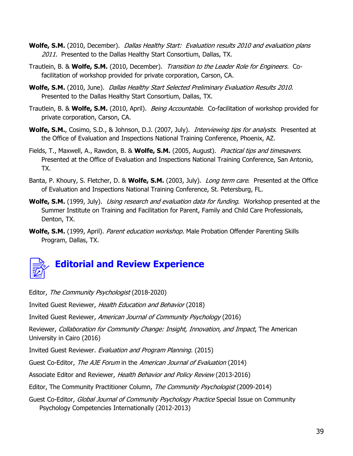- **Wolfe, S.M.** (2010, December). Dallas Healthy Start: Evaluation results 2010 and evaluation plans 2011. Presented to the Dallas Healthy Start Consortium, Dallas, TX.
- Trautlein, B. & **Wolfe, S.M.** (2010, December). Transition to the Leader Role for Engineers. Cofacilitation of workshop provided for private corporation, Carson, CA.
- **Wolfe, S.M.** (2010, June). Dallas Healthy Start Selected Preliminary Evaluation Results 2010. Presented to the Dallas Healthy Start Consortium, Dallas, TX.
- Trautlein, B. & **Wolfe, S.M.** (2010, April). Being Accountable. Co-facilitation of workshop provided for private corporation, Carson, CA.
- Wolfe, S.M., Cosimo, S.D., & Johnson, D.J. (2007, July). *Interviewing tips for analysts*. Presented at the Office of Evaluation and Inspections National Training Conference, Phoenix, AZ.
- Fields, T., Maxwell, A., Rawdon, B. & **Wolfe, S.M.** (2005, August). Practical tips and timesavers. Presented at the Office of Evaluation and Inspections National Training Conference, San Antonio, TX.
- Banta, P. Khoury, S. Fletcher, D. & **Wolfe, S.M.** (2003, July). Long term care. Presented at the Office of Evaluation and Inspections National Training Conference, St. Petersburg, FL.
- **Wolfe, S.M.** (1999, July). *Using research and evaluation data for funding*. Workshop presented at the Summer Institute on Training and Facilitation for Parent, Family and Child Care Professionals, Denton, TX.
- **Wolfe, S.M.** (1999, April). Parent education workshop. Male Probation Offender Parenting Skills Program, Dallas, TX.



Editor, The Community Psychologist (2018-2020)

Invited Guest Reviewer, Health Education and Behavior (2018)

Invited Guest Reviewer, American Journal of Community Psychology (2016)

Reviewer, Collaboration for Community Change: Insight, Innovation, and Impact, The American University in Cairo (2016)

Invited Guest Reviewer. Evaluation and Program Planning. (2015)

Guest Co-Editor, The AJE Forum in the American Journal of Evaluation (2014)

Associate Editor and Reviewer, Health Behavior and Policy Review (2013-2016)

Editor, The Community Practitioner Column, The Community Psychologist (2009-2014)

Guest Co-Editor, Global Journal of Community Psychology Practice Special Issue on Community Psychology Competencies Internationally (2012-2013)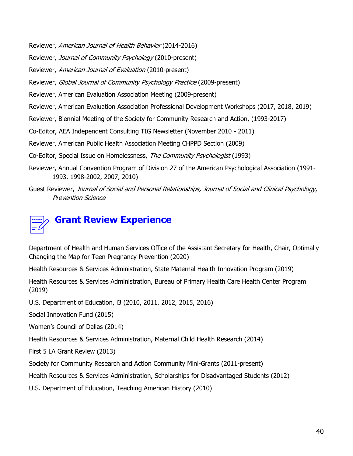Reviewer, American Journal of Health Behavior (2014-2016)

Reviewer, Journal of Community Psychology (2010-present)

Reviewer, American Journal of Evaluation (2010-present)

Reviewer, Global Journal of Community Psychology Practice (2009-present)

Reviewer, American Evaluation Association Meeting (2009-present)

Reviewer, American Evaluation Association Professional Development Workshops (2017, 2018, 2019)

Reviewer, Biennial Meeting of the Society for Community Research and Action, (1993-2017)

Co-Editor, AEA Independent Consulting TIG Newsletter (November 2010 - 2011)

Reviewer, American Public Health Association Meeting CHPPD Section (2009)

Co-Editor, Special Issue on Homelessness, The Community Psychologist (1993)

- Reviewer, Annual Convention Program of Division 27 of the American Psychological Association (1991- 1993, 1998-2002, 2007, 2010)
- Guest Reviewer, Journal of Social and Personal Relationships, Journal of Social and Clinical Psychology, Prevention Science



Department of Health and Human Services Office of the Assistant Secretary for Health, Chair, Optimally Changing the Map for Teen Pregnancy Prevention (2020)

Health Resources & Services Administration, State Maternal Health Innovation Program (2019)

Health Resources & Services Administration, Bureau of Primary Health Care Health Center Program (2019)

U.S. Department of Education, i3 (2010, 2011, 2012, 2015, 2016)

Social Innovation Fund (2015)

Women's Council of Dallas (2014)

Health Resources & Services Administration, Maternal Child Health Research (2014)

First 5 LA Grant Review (2013)

Society for Community Research and Action Community Mini-Grants (2011-present)

Health Resources & Services Administration, Scholarships for Disadvantaged Students (2012)

U.S. Department of Education, Teaching American History (2010)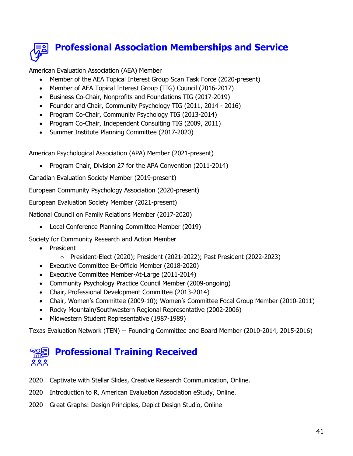

American Evaluation Association (AEA) Member

- Member of the AEA Topical Interest Group Scan Task Force (2020-present)
- Member of AEA Topical Interest Group (TIG) Council (2016-2017)
- Business Co-Chair, Nonprofits and Foundations TIG (2017-2019)
- Founder and Chair, Community Psychology TIG (2011, 2014 2016)
- Program Co-Chair, Community Psychology TIG (2013-2014)
- Program Co-Chair, Independent Consulting TIG (2009, 2011)
- Summer Institute Planning Committee (2017-2020)

American Psychological Association (APA) Member (2021-present)

• Program Chair, Division 27 for the APA Convention (2011-2014)

Canadian Evaluation Society Member (2019-present)

European Community Psychology Association (2020-present)

European Evaluation Society Member (2021-present)

National Council on Family Relations Member (2017-2020)

• Local Conference Planning Committee Member (2019)

Society for Community Research and Action Member

- President
	- o President-Elect (2020); President (2021-2022); Past President (2022-2023)
- Executive Committee Ex-Officio Member (2018-2020)
- Executive Committee Member-At-Large (2011-2014)
- Community Psychology Practice Council Member (2009-ongoing)
- Chair, Professional Development Committee (2013-2014)
- Chair, Women's Committee (2009-10); Women's Committee Focal Group Member (2010-2011)
- Rocky Mountain/Southwestern Regional Representative (2002-2006)
- Midwestern Student Representative (1987-1989)

Texas Evaluation Network (TEN) -- Founding Committee and Board Member (2010-2014, 2015-2016)

#### **Professional Training Received** 目の目 ዾዿዿ

- 2020 Captivate with Stellar Slides, Creative Research Communication, Online.
- 2020 Introduction to R, American Evaluation Association eStudy, Online.
- 2020 Great Graphs: Design Principles, Depict Design Studio, Online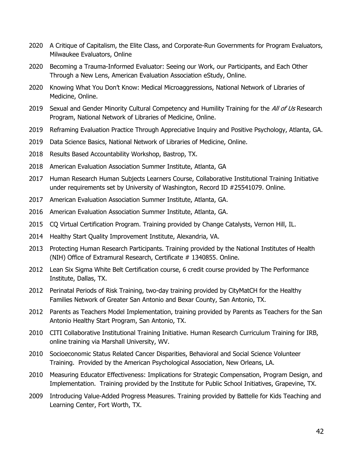- 2020 A Critique of Capitalism, the Elite Class, and Corporate-Run Governments for Program Evaluators, Milwaukee Evaluators, Online
- 2020 Becoming a Trauma-Informed Evaluator: Seeing our Work, our Participants, and Each Other Through a New Lens, American Evaluation Association eStudy, Online.
- 2020 Knowing What You Don't Know: Medical Microaggressions, National Network of Libraries of Medicine, Online.
- 2019 Sexual and Gender Minority Cultural Competency and Humility Training for the All of Us Research Program, National Network of Libraries of Medicine, Online.
- 2019 Reframing Evaluation Practice Through Appreciative Inquiry and Positive Psychology, Atlanta, GA.
- 2019 Data Science Basics, National Network of Libraries of Medicine, Online.
- 2018 Results Based Accountability Workshop, Bastrop, TX.
- 2018 American Evaluation Association Summer Institute, Atlanta, GA
- 2017 Human Research Human Subjects Learners Course, Collaborative Institutional Training Initiative under requirements set by University of Washington, Record ID #25541079. Online.
- 2017 American Evaluation Association Summer Institute, Atlanta, GA.
- 2016 American Evaluation Association Summer Institute, Atlanta, GA.
- 2015 CQ Virtual Certification Program. Training provided by Change Catalysts, Vernon Hill, IL.
- 2014 Healthy Start Quality Improvement Institute, Alexandria, VA.
- 2013 Protecting Human Research Participants. Training provided by the National Institutes of Health (NIH) Office of Extramural Research, Certificate # 1340855. Online.
- 2012 Lean Six Sigma White Belt Certification course, 6 credit course provided by The Performance Institute, Dallas, TX.
- 2012 Perinatal Periods of Risk Training, two-day training provided by CityMatCH for the Healthy Families Network of Greater San Antonio and Bexar County, San Antonio, TX.
- 2012 Parents as Teachers Model Implementation, training provided by Parents as Teachers for the San Antonio Healthy Start Program, San Antonio, TX.
- 2010 CITI Collaborative Institutional Training Initiative. Human Research Curriculum Training for IRB, online training via Marshall University, WV.
- 2010 Socioeconomic Status Related Cancer Disparities, Behavioral and Social Science Volunteer Training. Provided by the American Psychological Association, New Orleans, LA.
- 2010 Measuring Educator Effectiveness: Implications for Strategic Compensation, Program Design, and Implementation. Training provided by the Institute for Public School Initiatives, Grapevine, TX.
- 2009 Introducing Value-Added Progress Measures. Training provided by Battelle for Kids Teaching and Learning Center, Fort Worth, TX.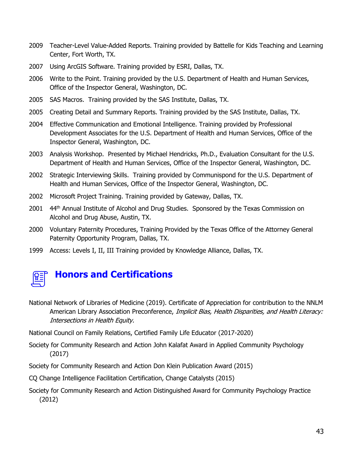- 2009 Teacher-Level Value-Added Reports. Training provided by Battelle for Kids Teaching and Learning Center, Fort Worth, TX.
- 2007 Using ArcGIS Software. Training provided by ESRI, Dallas, TX.
- 2006 Write to the Point. Training provided by the U.S. Department of Health and Human Services, Office of the Inspector General, Washington, DC.
- 2005 SAS Macros. Training provided by the SAS Institute, Dallas, TX.
- 2005 Creating Detail and Summary Reports. Training provided by the SAS Institute, Dallas, TX.
- 2004 Effective Communication and Emotional Intelligence. Training provided by Professional Development Associates for the U.S. Department of Health and Human Services, Office of the Inspector General, Washington, DC.
- 2003 Analysis Workshop. Presented by Michael Hendricks, Ph.D., Evaluation Consultant for the U.S. Department of Health and Human Services, Office of the Inspector General, Washington, DC.
- 2002 Strategic Interviewing Skills. Training provided by Communispond for the U.S. Department of Health and Human Services, Office of the Inspector General, Washington, DC.
- 2002 Microsoft Project Training. Training provided by Gateway, Dallas, TX.
- 2001 44<sup>th</sup> Annual Institute of Alcohol and Drug Studies. Sponsored by the Texas Commission on Alcohol and Drug Abuse, Austin, TX.
- 2000 Voluntary Paternity Procedures, Training Provided by the Texas Office of the Attorney General Paternity Opportunity Program, Dallas, TX.
- 1999 Access: Levels I, II, III Training provided by Knowledge Alliance, Dallas, TX.



# **Honors and Certifications**

National Network of Libraries of Medicine (2019). Certificate of Appreciation for contribution to the NNLM American Library Association Preconference, Implicit Bias, Health Disparities, and Health Literacy: Intersections in Health Equity.

National Council on Family Relations, Certified Family Life Educator (2017-2020)

Society for Community Research and Action John Kalafat Award in Applied Community Psychology (2017)

Society for Community Research and Action Don Klein Publication Award (2015)

CQ Change Intelligence Facilitation Certification, Change Catalysts (2015)

Society for Community Research and Action Distinguished Award for Community Psychology Practice (2012)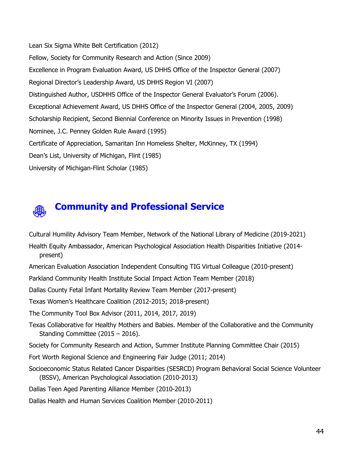Lean Six Sigma White Belt Certification (2012) Fellow, Society for Community Research and Action (Since 2009) Excellence in Program Evaluation Award, US DHHS Office of the Inspector General (2007) Regional Director's Leadership Award, US DHHS Region VI (2007) Distinguished Author, USDHHS Office of the Inspector General Evaluator's Forum (2006). Exceptional Achievement Award, US DHHS Office of the Inspector General (2004, 2005, 2009) Scholarship Recipient, Second Biennial Conference on Minority Issues in Prevention (1998) Nominee, J.C. Penney Golden Rule Award (1995) Certificate of Appreciation, Samaritan Inn Homeless Shelter, McKinney, TX (1994) Dean's List, University of Michigan, Flint (1985) University of Michigan-Flint Scholar (1985)

# **Community and Professional Service**

Cultural Humility Advisory Team Member, Network of the National Library of Medicine (2019-2021)

- Health Equity Ambassador, American Psychological Association Health Disparities Initiative (2014 present)
- American Evaluation Association Independent Consulting TIG Virtual Colleague (2010-present)
- Parkland Community Health Institute Social Impact Action Team Member (2018)

Dallas County Fetal Infant Mortality Review Team Member (2017-present)

Texas Women's Healthcare Coalition (2012-2015; 2018-present)

The Community Tool Box Advisor (2011, 2014, 2017, 2019)

Texas Collaborative for Healthy Mothers and Babies. Member of the Collaborative and the Community Standing Committee (2015 – 2016).

Society for Community Research and Action, Summer Institute Planning Committee Chair (2015)

Fort Worth Regional Science and Engineering Fair Judge (2011; 2014)

Socioeconomic Status Related Cancer Disparities (SESRCD) Program Behavioral Social Science Volunteer (BSSV), American Psychological Association (2010-2013)

Dallas Teen Aged Parenting Alliance Member (2010-2013)

Dallas Health and Human Services Coalition Member (2010-2011)